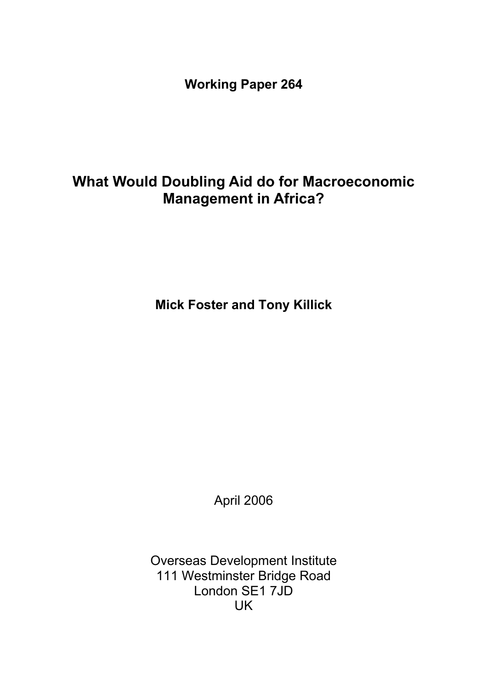**Working Paper 264** 

# **What Would Doubling Aid do for Macroeconomic Management in Africa?**

**Mick Foster and Tony Killick** 

April 2006

Overseas Development Institute 111 Westminster Bridge Road London SE1 7JD UK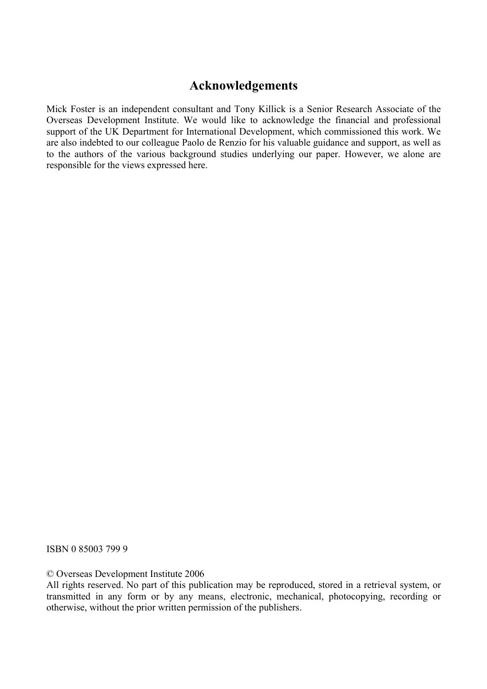### **Acknowledgements**

Mick Foster is an independent consultant and Tony Killick is a Senior Research Associate of the Overseas Development Institute. We would like to acknowledge the financial and professional support of the UK Department for International Development, which commissioned this work. We are also indebted to our colleague Paolo de Renzio for his valuable guidance and support, as well as to the authors of the various background studies underlying our paper. However, we alone are responsible for the views expressed here.

ISBN 0 85003 799 9

© Overseas Development Institute 2006

All rights reserved. No part of this publication may be reproduced, stored in a retrieval system, or transmitted in any form or by any means, electronic, mechanical, photocopying, recording or otherwise, without the prior written permission of the publishers.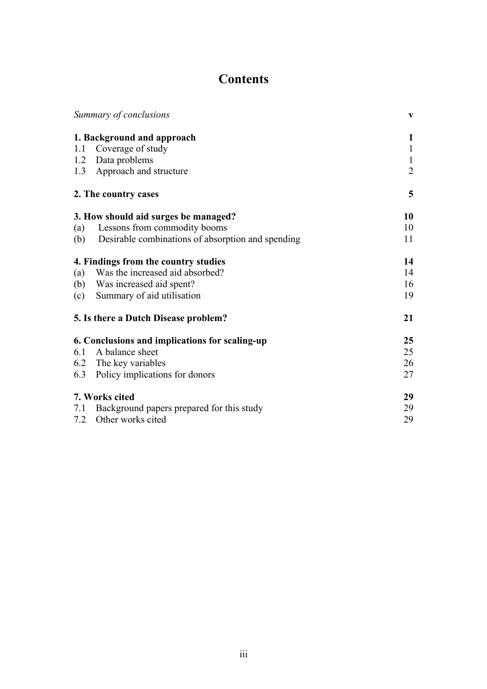# **Contents**

|     | Summary of conclusions                                | $\mathbf{V}$   |
|-----|-------------------------------------------------------|----------------|
|     | 1. Background and approach                            | 1              |
| 1.1 | Coverage of study                                     | $\mathbf{1}$   |
| 1.2 | Data problems                                         | $\mathbf{1}$   |
|     | 1.3 Approach and structure                            | $\overline{2}$ |
|     | 2. The country cases                                  | 5              |
|     | 3. How should aid surges be managed?                  | 10             |
| (a) | Lessons from commodity booms                          | 10             |
|     | (b) Desirable combinations of absorption and spending | 11             |
|     | 4. Findings from the country studies                  | 14             |
| (a) | Was the increased aid absorbed?                       | 14             |
| (b) | Was increased aid spent?                              | 16             |
| (c) | Summary of aid utilisation                            | 19             |
|     | 5. Is there a Dutch Disease problem?                  | 21             |
|     | 6. Conclusions and implications for scaling-up        | 25             |
| 6.1 | A balance sheet                                       | 25             |
|     | 6.2 The key variables                                 | 26             |
|     | 6.3 Policy implications for donors                    | 27             |
|     | 7. Works cited                                        | 29             |
| 7.1 | Background papers prepared for this study             | 29             |
| 7.2 | Other works cited                                     | 29             |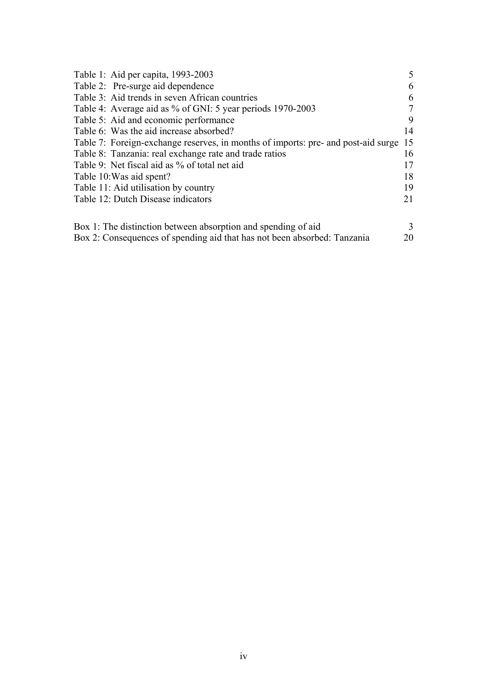| Table 1: Aid per capita, 1993-2003                                                |    |
|-----------------------------------------------------------------------------------|----|
| Table 2: Pre-surge aid dependence                                                 | 6  |
| Table 3: Aid trends in seven African countries                                    | 6  |
| Table 4: Average aid as % of GNI: 5 year periods 1970-2003                        | 7  |
| Table 5: Aid and economic performance                                             | 9  |
| Table 6: Was the aid increase absorbed?                                           | 14 |
| Table 7: Foreign-exchange reserves, in months of imports: pre- and post-aid surge | 15 |
| Table 8: Tanzania: real exchange rate and trade ratios                            | 16 |
| Table 9: Net fiscal aid as % of total net aid                                     | 17 |
| Table 10: Was aid spent?                                                          | 18 |
| Table 11: Aid utilisation by country                                              | 19 |
| Table 12: Dutch Disease indicators                                                | 21 |
|                                                                                   |    |
| Box 1: The distinction between absorption and spending of aid                     |    |
| Box 2: Consequences of spending aid that has not been absorbed: Tanzania          | 20 |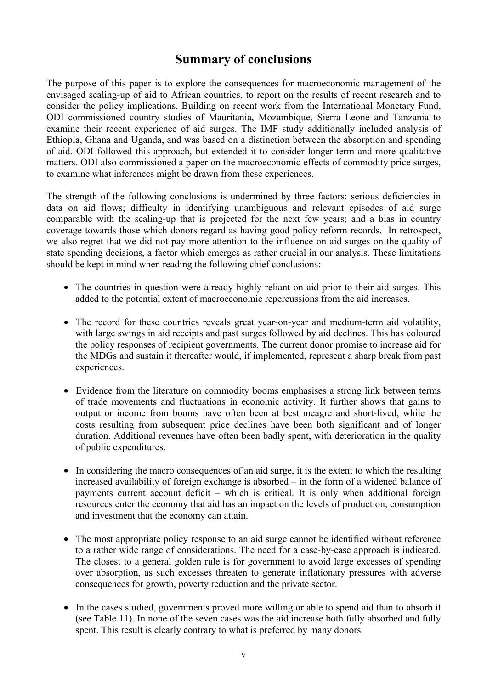### **Summary of conclusions**

The purpose of this paper is to explore the consequences for macroeconomic management of the envisaged scaling-up of aid to African countries, to report on the results of recent research and to consider the policy implications. Building on recent work from the International Monetary Fund, ODI commissioned country studies of Mauritania, Mozambique, Sierra Leone and Tanzania to examine their recent experience of aid surges. The IMF study additionally included analysis of Ethiopia, Ghana and Uganda, and was based on a distinction between the absorption and spending of aid. ODI followed this approach, but extended it to consider longer-term and more qualitative matters. ODI also commissioned a paper on the macroeconomic effects of commodity price surges, to examine what inferences might be drawn from these experiences.

The strength of the following conclusions is undermined by three factors: serious deficiencies in data on aid flows; difficulty in identifying unambiguous and relevant episodes of aid surge comparable with the scaling-up that is projected for the next few years; and a bias in country coverage towards those which donors regard as having good policy reform records. In retrospect, we also regret that we did not pay more attention to the influence on aid surges on the quality of state spending decisions, a factor which emerges as rather crucial in our analysis. These limitations should be kept in mind when reading the following chief conclusions:

- The countries in question were already highly reliant on aid prior to their aid surges. This added to the potential extent of macroeconomic repercussions from the aid increases.
- The record for these countries reveals great year-on-year and medium-term aid volatility, with large swings in aid receipts and past surges followed by aid declines. This has coloured the policy responses of recipient governments. The current donor promise to increase aid for the MDGs and sustain it thereafter would, if implemented, represent a sharp break from past experiences.
- Evidence from the literature on commodity booms emphasises a strong link between terms of trade movements and fluctuations in economic activity. It further shows that gains to output or income from booms have often been at best meagre and short-lived, while the costs resulting from subsequent price declines have been both significant and of longer duration. Additional revenues have often been badly spent, with deterioration in the quality of public expenditures.
- In considering the macro consequences of an aid surge, it is the extent to which the resulting increased availability of foreign exchange is absorbed – in the form of a widened balance of payments current account deficit – which is critical. It is only when additional foreign resources enter the economy that aid has an impact on the levels of production, consumption and investment that the economy can attain.
- The most appropriate policy response to an aid surge cannot be identified without reference to a rather wide range of considerations. The need for a case-by-case approach is indicated. The closest to a general golden rule is for government to avoid large excesses of spending over absorption, as such excesses threaten to generate inflationary pressures with adverse consequences for growth, poverty reduction and the private sector.
- In the cases studied, governments proved more willing or able to spend aid than to absorb it (see Table 11). In none of the seven cases was the aid increase both fully absorbed and fully spent. This result is clearly contrary to what is preferred by many donors.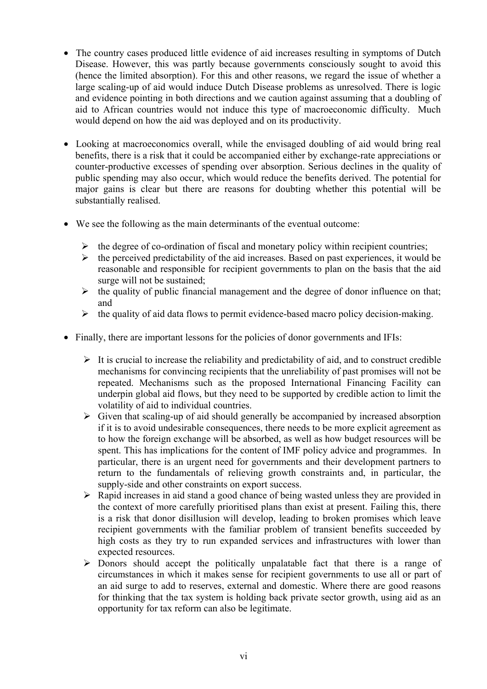- The country cases produced little evidence of aid increases resulting in symptoms of Dutch Disease. However, this was partly because governments consciously sought to avoid this (hence the limited absorption). For this and other reasons, we regard the issue of whether a large scaling-up of aid would induce Dutch Disease problems as unresolved. There is logic and evidence pointing in both directions and we caution against assuming that a doubling of aid to African countries would not induce this type of macroeconomic difficulty. Much would depend on how the aid was deployed and on its productivity.
- Looking at macroeconomics overall, while the envisaged doubling of aid would bring real benefits, there is a risk that it could be accompanied either by exchange-rate appreciations or counter-productive excesses of spending over absorption. Serious declines in the quality of public spending may also occur, which would reduce the benefits derived. The potential for major gains is clear but there are reasons for doubting whether this potential will be substantially realised.
- We see the following as the main determinants of the eventual outcome:
	- $\triangleright$  the degree of co-ordination of fiscal and monetary policy within recipient countries;
	- $\triangleright$  the perceived predictability of the aid increases. Based on past experiences, it would be reasonable and responsible for recipient governments to plan on the basis that the aid surge will not be sustained;
	- $\triangleright$  the quality of public financial management and the degree of donor influence on that; and
	- $\triangleright$  the quality of aid data flows to permit evidence-based macro policy decision-making.
- Finally, there are important lessons for the policies of donor governments and IFIs:
	- $\triangleright$  It is crucial to increase the reliability and predictability of aid, and to construct credible mechanisms for convincing recipients that the unreliability of past promises will not be repeated. Mechanisms such as the proposed International Financing Facility can underpin global aid flows, but they need to be supported by credible action to limit the volatility of aid to individual countries.
	- $\triangleright$  Given that scaling-up of aid should generally be accompanied by increased absorption if it is to avoid undesirable consequences, there needs to be more explicit agreement as to how the foreign exchange will be absorbed, as well as how budget resources will be spent. This has implications for the content of IMF policy advice and programmes. In particular, there is an urgent need for governments and their development partners to return to the fundamentals of relieving growth constraints and, in particular, the supply-side and other constraints on export success.
	- $\triangleright$  Rapid increases in aid stand a good chance of being wasted unless they are provided in the context of more carefully prioritised plans than exist at present. Failing this, there is a risk that donor disillusion will develop, leading to broken promises which leave recipient governments with the familiar problem of transient benefits succeeded by high costs as they try to run expanded services and infrastructures with lower than expected resources.
	- $\triangleright$  Donors should accept the politically unpalatable fact that there is a range of circumstances in which it makes sense for recipient governments to use all or part of an aid surge to add to reserves, external and domestic. Where there are good reasons for thinking that the tax system is holding back private sector growth, using aid as an opportunity for tax reform can also be legitimate.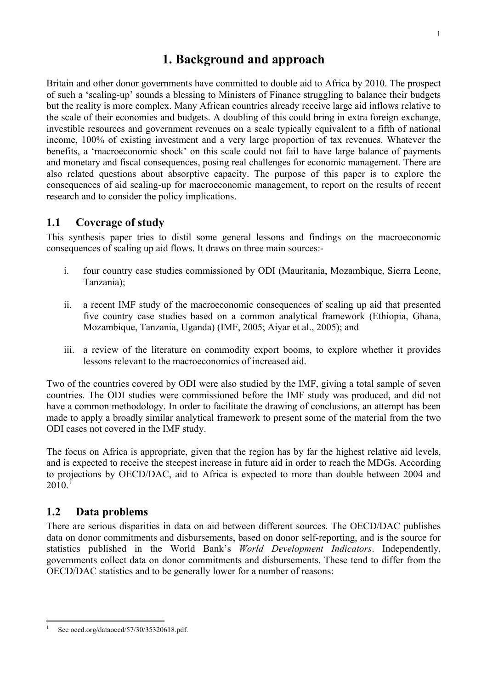## **1. Background and approach**

Britain and other donor governments have committed to double aid to Africa by 2010. The prospect of such a 'scaling-up' sounds a blessing to Ministers of Finance struggling to balance their budgets but the reality is more complex. Many African countries already receive large aid inflows relative to the scale of their economies and budgets. A doubling of this could bring in extra foreign exchange, investible resources and government revenues on a scale typically equivalent to a fifth of national income, 100% of existing investment and a very large proportion of tax revenues. Whatever the benefits, a 'macroeconomic shock' on this scale could not fail to have large balance of payments and monetary and fiscal consequences, posing real challenges for economic management. There are also related questions about absorptive capacity. The purpose of this paper is to explore the consequences of aid scaling-up for macroeconomic management, to report on the results of recent research and to consider the policy implications.

### **1.1 Coverage of study**

This synthesis paper tries to distil some general lessons and findings on the macroeconomic consequences of scaling up aid flows. It draws on three main sources:-

- i. four country case studies commissioned by ODI (Mauritania, Mozambique, Sierra Leone, Tanzania);
- ii. a recent IMF study of the macroeconomic consequences of scaling up aid that presented five country case studies based on a common analytical framework (Ethiopia, Ghana, Mozambique, Tanzania, Uganda) (IMF, 2005; Aiyar et al., 2005); and
- iii. a review of the literature on commodity export booms, to explore whether it provides lessons relevant to the macroeconomics of increased aid.

Two of the countries covered by ODI were also studied by the IMF, giving a total sample of seven countries. The ODI studies were commissioned before the IMF study was produced, and did not have a common methodology. In order to facilitate the drawing of conclusions, an attempt has been made to apply a broadly similar analytical framework to present some of the material from the two ODI cases not covered in the IMF study.

The focus on Africa is appropriate, given that the region has by far the highest relative aid levels, and is expected to receive the steepest increase in future aid in order to reach the MDGs. According to projections by OECD/DAC, aid to Africa is expected to more than double between 2004 and  $2010$ <sup>1</sup>

### **1.2 Data problems**

There are serious disparities in data on aid between different sources. The OECD/DAC publishes data on donor commitments and disbursements, based on donor self-reporting, and is the source for statistics published in the World Bank's *World Development Indicators*. Independently, governments collect data on donor commitments and disbursements. These tend to differ from the OECD/DAC statistics and to be generally lower for a number of reasons:

 $\overline{a}$ 1 See oecd.org/dataoecd/57/30/35320618.pdf.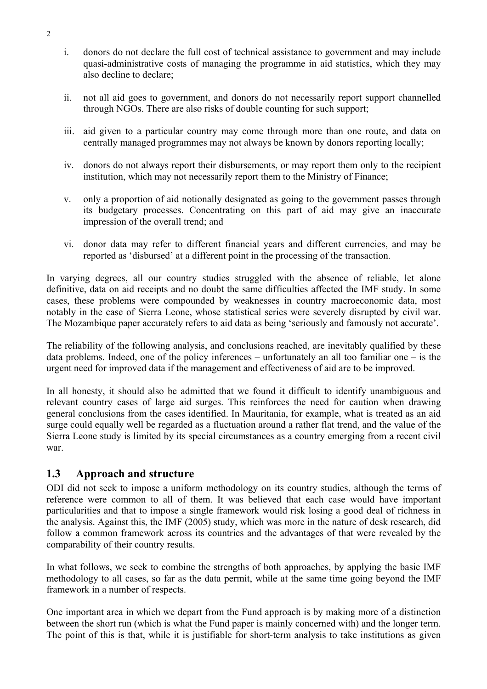- i. donors do not declare the full cost of technical assistance to government and may include quasi-administrative costs of managing the programme in aid statistics, which they may also decline to declare;
- ii. not all aid goes to government, and donors do not necessarily report support channelled through NGOs. There are also risks of double counting for such support;
- iii. aid given to a particular country may come through more than one route, and data on centrally managed programmes may not always be known by donors reporting locally;
- iv. donors do not always report their disbursements, or may report them only to the recipient institution, which may not necessarily report them to the Ministry of Finance;
- v. only a proportion of aid notionally designated as going to the government passes through its budgetary processes. Concentrating on this part of aid may give an inaccurate impression of the overall trend; and
- vi. donor data may refer to different financial years and different currencies, and may be reported as 'disbursed' at a different point in the processing of the transaction.

In varying degrees, all our country studies struggled with the absence of reliable, let alone definitive, data on aid receipts and no doubt the same difficulties affected the IMF study. In some cases, these problems were compounded by weaknesses in country macroeconomic data, most notably in the case of Sierra Leone, whose statistical series were severely disrupted by civil war. The Mozambique paper accurately refers to aid data as being 'seriously and famously not accurate'.

The reliability of the following analysis, and conclusions reached, are inevitably qualified by these data problems. Indeed, one of the policy inferences – unfortunately an all too familiar one – is the urgent need for improved data if the management and effectiveness of aid are to be improved.

In all honesty, it should also be admitted that we found it difficult to identify unambiguous and relevant country cases of large aid surges. This reinforces the need for caution when drawing general conclusions from the cases identified. In Mauritania, for example, what is treated as an aid surge could equally well be regarded as a fluctuation around a rather flat trend, and the value of the Sierra Leone study is limited by its special circumstances as a country emerging from a recent civil war.

### **1.3 Approach and structure**

ODI did not seek to impose a uniform methodology on its country studies, although the terms of reference were common to all of them. It was believed that each case would have important particularities and that to impose a single framework would risk losing a good deal of richness in the analysis. Against this, the IMF (2005) study, which was more in the nature of desk research, did follow a common framework across its countries and the advantages of that were revealed by the comparability of their country results.

In what follows, we seek to combine the strengths of both approaches, by applying the basic IMF methodology to all cases, so far as the data permit, while at the same time going beyond the IMF framework in a number of respects.

One important area in which we depart from the Fund approach is by making more of a distinction between the short run (which is what the Fund paper is mainly concerned with) and the longer term. The point of this is that, while it is justifiable for short-term analysis to take institutions as given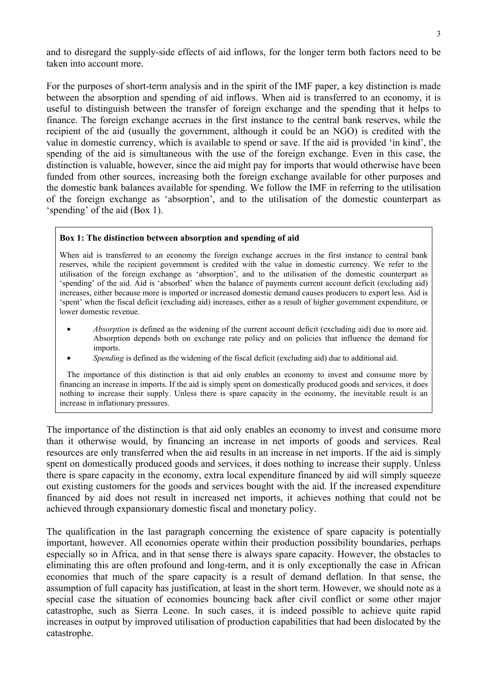and to disregard the supply-side effects of aid inflows, for the longer term both factors need to be taken into account more.

For the purposes of short-term analysis and in the spirit of the IMF paper, a key distinction is made between the absorption and spending of aid inflows. When aid is transferred to an economy, it is useful to distinguish between the transfer of foreign exchange and the spending that it helps to finance. The foreign exchange accrues in the first instance to the central bank reserves, while the recipient of the aid (usually the government, although it could be an NGO) is credited with the value in domestic currency, which is available to spend or save. If the aid is provided 'in kind', the spending of the aid is simultaneous with the use of the foreign exchange. Even in this case, the distinction is valuable, however, since the aid might pay for imports that would otherwise have been funded from other sources, increasing both the foreign exchange available for other purposes and the domestic bank balances available for spending. We follow the IMF in referring to the utilisation of the foreign exchange as 'absorption', and to the utilisation of the domestic counterpart as 'spending' of the aid (Box 1).

#### **Box 1: The distinction between absorption and spending of aid**

When aid is transferred to an economy the foreign exchange accrues in the first instance to central bank reserves, while the recipient government is credited with the value in domestic currency. We refer to the utilisation of the foreign exchange as 'absorption', and to the utilisation of the domestic counterpart as 'spending' of the aid. Aid is 'absorbed' when the balance of payments current account deficit (excluding aid) increases, either because more is imported or increased domestic demand causes producers to export less. Aid is 'spent' when the fiscal deficit (excluding aid) increases, either as a result of higher government expenditure, or lower domestic revenue.

- *Absorption* is defined as the widening of the current account deficit (excluding aid) due to more aid. Absorption depends both on exchange rate policy and on policies that influence the demand for imports.
- *Spending* is defined as the widening of the fiscal deficit (excluding aid) due to additional aid.

The importance of this distinction is that aid only enables an economy to invest and consume more by financing an increase in imports. If the aid is simply spent on domestically produced goods and services, it does nothing to increase their supply. Unless there is spare capacity in the economy, the inevitable result is an increase in inflationary pressures.

The importance of the distinction is that aid only enables an economy to invest and consume more than it otherwise would, by financing an increase in net imports of goods and services. Real resources are only transferred when the aid results in an increase in net imports. If the aid is simply spent on domestically produced goods and services, it does nothing to increase their supply. Unless there is spare capacity in the economy, extra local expenditure financed by aid will simply squeeze out existing customers for the goods and services bought with the aid. If the increased expenditure financed by aid does not result in increased net imports, it achieves nothing that could not be achieved through expansionary domestic fiscal and monetary policy.

The qualification in the last paragraph concerning the existence of spare capacity is potentially important, however. All economies operate within their production possibility boundaries, perhaps especially so in Africa, and in that sense there is always spare capacity. However, the obstacles to eliminating this are often profound and long-term, and it is only exceptionally the case in African economies that much of the spare capacity is a result of demand deflation. In that sense, the assumption of full capacity has justification, at least in the short term. However, we should note as a special case the situation of economies bouncing back after civil conflict or some other major catastrophe, such as Sierra Leone. In such cases, it is indeed possible to achieve quite rapid increases in output by improved utilisation of production capabilities that had been dislocated by the catastrophe.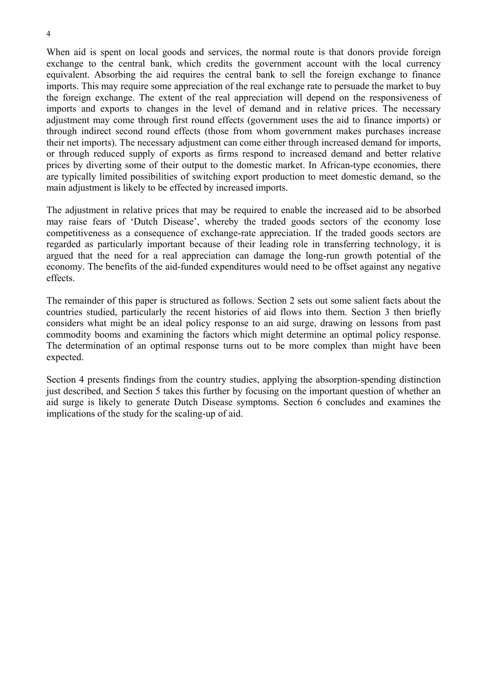4

When aid is spent on local goods and services, the normal route is that donors provide foreign exchange to the central bank, which credits the government account with the local currency equivalent. Absorbing the aid requires the central bank to sell the foreign exchange to finance imports. This may require some appreciation of the real exchange rate to persuade the market to buy the foreign exchange. The extent of the real appreciation will depend on the responsiveness of imports and exports to changes in the level of demand and in relative prices. The necessary adjustment may come through first round effects (government uses the aid to finance imports) or through indirect second round effects (those from whom government makes purchases increase their net imports). The necessary adjustment can come either through increased demand for imports, or through reduced supply of exports as firms respond to increased demand and better relative prices by diverting some of their output to the domestic market. In African-type economies, there are typically limited possibilities of switching export production to meet domestic demand, so the main adjustment is likely to be effected by increased imports.

The adjustment in relative prices that may be required to enable the increased aid to be absorbed may raise fears of 'Dutch Disease', whereby the traded goods sectors of the economy lose competitiveness as a consequence of exchange-rate appreciation. If the traded goods sectors are regarded as particularly important because of their leading role in transferring technology, it is argued that the need for a real appreciation can damage the long-run growth potential of the economy. The benefits of the aid-funded expenditures would need to be offset against any negative effects.

The remainder of this paper is structured as follows. Section 2 sets out some salient facts about the countries studied, particularly the recent histories of aid flows into them. Section 3 then briefly considers what might be an ideal policy response to an aid surge, drawing on lessons from past commodity booms and examining the factors which might determine an optimal policy response. The determination of an optimal response turns out to be more complex than might have been expected.

Section 4 presents findings from the country studies, applying the absorption-spending distinction just described, and Section 5 takes this further by focusing on the important question of whether an aid surge is likely to generate Dutch Disease symptoms. Section 6 concludes and examines the implications of the study for the scaling-up of aid.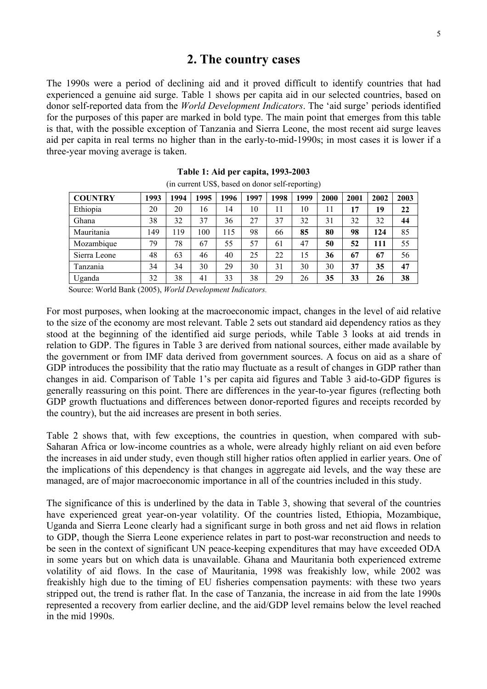### **2. The country cases**

The 1990s were a period of declining aid and it proved difficult to identify countries that had experienced a genuine aid surge. Table 1 shows per capita aid in our selected countries, based on donor self-reported data from the *World Development Indicators*. The 'aid surge' periods identified for the purposes of this paper are marked in bold type. The main point that emerges from this table is that, with the possible exception of Tanzania and Sierra Leone, the most recent aid surge leaves aid per capita in real terms no higher than in the early-to-mid-1990s; in most cases it is lower if a three-year moving average is taken.

| <b>COUNTRY</b> | 1993 | 1994 | 1995 | 1996 | 1997 | 1998 | 1999 | 2000 | 2001 | 2002 | 2003 |
|----------------|------|------|------|------|------|------|------|------|------|------|------|
| Ethiopia       | 20   | 20   | 16   | 14   | 10   | 11   | 10   | 11   | 17   | 19   | 22   |
| Ghana          | 38   | 32   | 37   | 36   | 27   | 37   | 32   | 31   | 32   | 32   | 44   |
| Mauritania     | 149  | 119  | 100  | 115  | 98   | 66   | 85   | 80   | 98   | 124  | 85   |
| Mozambique     | 79   | 78   | 67   | 55   | 57   | 61   | 47   | 50   | 52   | 111  | 55   |
| Sierra Leone   | 48   | 63   | 46   | 40   | 25   | 22   | 15   | 36   | 67   | 67   | 56   |
| Tanzania       | 34   | 34   | 30   | 29   | 30   | 31   | 30   | 30   | 37   | 35   | 47   |
| Uganda         | 32   | 38   | 41   | 33   | 38   | 29   | 26   | 35   | 33   | 26   | 38   |

|  |  | Table 1: Aid per capita, 1993-2003               |  |
|--|--|--------------------------------------------------|--|
|  |  | (in current US\$, based on donor self-reporting) |  |

Source: World Bank (2005), *World Development Indicators.* 

For most purposes, when looking at the macroeconomic impact, changes in the level of aid relative to the size of the economy are most relevant. Table 2 sets out standard aid dependency ratios as they stood at the beginning of the identified aid surge periods, while Table 3 looks at aid trends in relation to GDP. The figures in Table 3 are derived from national sources, either made available by the government or from IMF data derived from government sources. A focus on aid as a share of GDP introduces the possibility that the ratio may fluctuate as a result of changes in GDP rather than changes in aid. Comparison of Table 1's per capita aid figures and Table 3 aid-to-GDP figures is generally reassuring on this point. There are differences in the year-to-year figures (reflecting both GDP growth fluctuations and differences between donor-reported figures and receipts recorded by the country), but the aid increases are present in both series.

Table 2 shows that, with few exceptions, the countries in question, when compared with sub-Saharan Africa or low-income countries as a whole, were already highly reliant on aid even before the increases in aid under study, even though still higher ratios often applied in earlier years. One of the implications of this dependency is that changes in aggregate aid levels, and the way these are managed, are of major macroeconomic importance in all of the countries included in this study.

The significance of this is underlined by the data in Table 3, showing that several of the countries have experienced great year-on-year volatility. Of the countries listed, Ethiopia, Mozambique, Uganda and Sierra Leone clearly had a significant surge in both gross and net aid flows in relation to GDP, though the Sierra Leone experience relates in part to post-war reconstruction and needs to be seen in the context of significant UN peace-keeping expenditures that may have exceeded ODA in some years but on which data is unavailable. Ghana and Mauritania both experienced extreme volatility of aid flows. In the case of Mauritania, 1998 was freakishly low, while 2002 was freakishly high due to the timing of EU fisheries compensation payments: with these two years stripped out, the trend is rather flat. In the case of Tanzania, the increase in aid from the late 1990s represented a recovery from earlier decline, and the aid/GDP level remains below the level reached in the mid 1990s.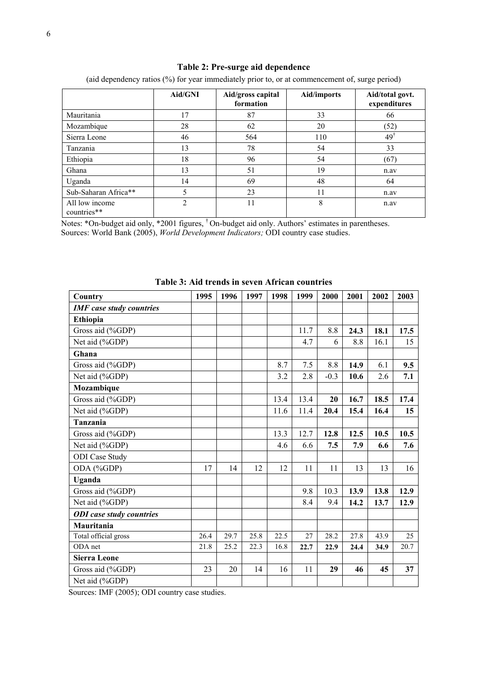|  | Table 2: Pre-surge aid dependence |  |  |
|--|-----------------------------------|--|--|
|--|-----------------------------------|--|--|

|                               | Aid/GNI | Aid/gross capital<br>formation | <b>Aid/imports</b> | Aid/total govt.<br>expenditures |
|-------------------------------|---------|--------------------------------|--------------------|---------------------------------|
| Mauritania                    | 17      | 87                             | 33                 | 66                              |
| Mozambique                    | 28      | 62                             | 20                 | (52)                            |
| Sierra Leone                  | 46      | 564                            | 110                | $49^{\dagger}$                  |
| Tanzania                      | 13      | 78                             | 54                 | 33                              |
| Ethiopia                      | 18      | 96                             | 54                 | (67)                            |
| Ghana                         | 13      | 51                             | 19                 | n.av                            |
| Uganda                        | 14      | 69                             | 48                 | 64                              |
| Sub-Saharan Africa**          | 5       | 23                             | 11                 | n.av                            |
| All low income<br>countries** | C       | 11                             | 8                  | n.av                            |

(aid dependency ratios (%) for year immediately prior to, or at commencement of, surge period)

Notes: \*On-budget aid only, \*2001 figures, † On-budget aid only. Authors' estimates in parentheses. Sources: World Bank (2005), *World Development Indicators;* ODI country case studies.

| ibic 9. And trends in seven Antican countries |      |      |      |      |      |        |      |      |      |
|-----------------------------------------------|------|------|------|------|------|--------|------|------|------|
| Country                                       | 1995 | 1996 | 1997 | 1998 | 1999 | 2000   | 2001 | 2002 | 2003 |
| <b>IMF</b> case study countries               |      |      |      |      |      |        |      |      |      |
| Ethiopia                                      |      |      |      |      |      |        |      |      |      |
| Gross aid (%GDP)                              |      |      |      |      | 11.7 | 8.8    | 24.3 | 18.1 | 17.5 |
| Net aid (%GDP)                                |      |      |      |      | 4.7  | 6      | 8.8  | 16.1 | 15   |
| Ghana                                         |      |      |      |      |      |        |      |      |      |
| Gross aid (%GDP)                              |      |      |      | 8.7  | 7.5  | 8.8    | 14.9 | 6.1  | 9.5  |
| Net aid (%GDP)                                |      |      |      | 3.2  | 2.8  | $-0.3$ | 10.6 | 2.6  | 7.1  |
| Mozambique                                    |      |      |      |      |      |        |      |      |      |
| Gross aid (%GDP)                              |      |      |      | 13.4 | 13.4 | 20     | 16.7 | 18.5 | 17.4 |
| Net aid (%GDP)                                |      |      |      | 11.6 | 11.4 | 20.4   | 15.4 | 16.4 | 15   |
| Tanzania                                      |      |      |      |      |      |        |      |      |      |
| Gross aid (%GDP)                              |      |      |      | 13.3 | 12.7 | 12.8   | 12.5 | 10.5 | 10.5 |
| Net aid (%GDP)                                |      |      |      | 4.6  | 6.6  | 7.5    | 7.9  | 6.6  | 7.6  |
| <b>ODI</b> Case Study                         |      |      |      |      |      |        |      |      |      |
| ODA (%GDP)                                    | 17   | 14   | 12   | 12   | 11   | 11     | 13   | 13   | 16   |
| Uganda                                        |      |      |      |      |      |        |      |      |      |
| Gross aid (%GDP)                              |      |      |      |      | 9.8  | 10.3   | 13.9 | 13.8 | 12.9 |
| Net aid (%GDP)                                |      |      |      |      | 8.4  | 9.4    | 14.2 | 13.7 | 12.9 |
| <b>ODI</b> case study countries               |      |      |      |      |      |        |      |      |      |
| Mauritania                                    |      |      |      |      |      |        |      |      |      |
| Total official gross                          | 26.4 | 29.7 | 25.8 | 22.5 | 27   | 28.2   | 27.8 | 43.9 | 25   |
| ODA net                                       | 21.8 | 25.2 | 22.3 | 16.8 | 22.7 | 22.9   | 24.4 | 34.9 | 20.7 |
| <b>Sierra Leone</b>                           |      |      |      |      |      |        |      |      |      |
| Gross aid (%GDP)                              | 23   | 20   | 14   | 16   | 11   | 29     | 46   | 45   | 37   |
| Net aid (%GDP)                                |      |      |      |      |      |        |      |      |      |

#### **Table 3: Aid trends in seven African countries**

Sources: IMF (2005); ODI country case studies.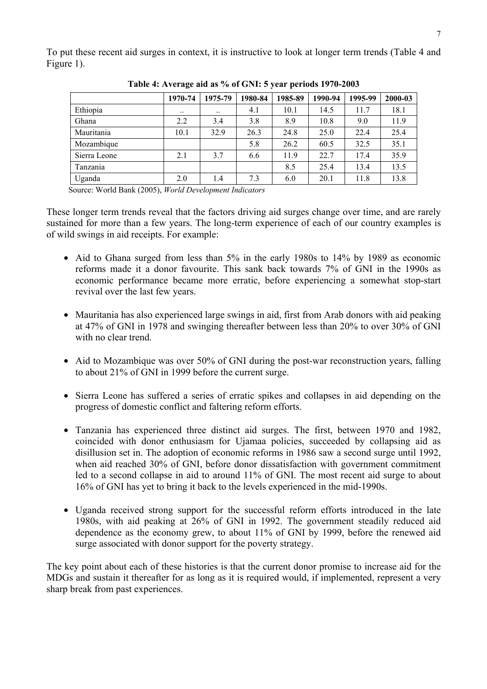To put these recent aid surges in context, it is instructive to look at longer term trends (Table 4 and Figure 1).

|              | 1970-74   | 1975-79   | 1980-84 | 1985-89 | 1990-94 | 1995-99 | 2000-03 |
|--------------|-----------|-----------|---------|---------|---------|---------|---------|
| Ethiopia     | $\ddotsc$ | $\ddotsc$ | 4.1     | 10.1    | 14.5    | 11.7    | 18.1    |
| Ghana        | 2.2       | 3.4       | 3.8     | 8.9     | 10.8    | 9.0     | 11.9    |
| Mauritania   | 10.1      | 32.9      | 26.3    | 24.8    | 25.0    | 22.4    | 25.4    |
| Mozambique   |           |           | 5.8     | 26.2    | 60.5    | 32.5    | 35.1    |
| Sierra Leone | 2.1       | 3.7       | 6.6     | 11.9    | 22.7    | 17.4    | 35.9    |
| Tanzania     |           |           |         | 8.5     | 25.4    | 13.4    | 13.5    |
| Uganda       | 2.0       | 1.4       | 7.3     | 6.0     | 20.1    | 11.8    | 13.8    |
|              |           |           |         |         |         |         |         |

**Table 4: Average aid as % of GNI: 5 year periods 1970-2003** 

Source: World Bank (2005), *World Development Indicators* 

These longer term trends reveal that the factors driving aid surges change over time, and are rarely sustained for more than a few years. The long-term experience of each of our country examples is of wild swings in aid receipts. For example:

- Aid to Ghana surged from less than 5% in the early 1980s to 14% by 1989 as economic reforms made it a donor favourite. This sank back towards 7% of GNI in the 1990s as economic performance became more erratic, before experiencing a somewhat stop-start revival over the last few years.
- Mauritania has also experienced large swings in aid, first from Arab donors with aid peaking at 47% of GNI in 1978 and swinging thereafter between less than 20% to over 30% of GNI with no clear trend.
- Aid to Mozambique was over 50% of GNI during the post-war reconstruction years, falling to about 21% of GNI in 1999 before the current surge.
- Sierra Leone has suffered a series of erratic spikes and collapses in aid depending on the progress of domestic conflict and faltering reform efforts.
- Tanzania has experienced three distinct aid surges. The first, between 1970 and 1982, coincided with donor enthusiasm for Ujamaa policies, succeeded by collapsing aid as disillusion set in. The adoption of economic reforms in 1986 saw a second surge until 1992, when aid reached 30% of GNI, before donor dissatisfaction with government commitment led to a second collapse in aid to around 11% of GNI. The most recent aid surge to about 16% of GNI has yet to bring it back to the levels experienced in the mid-1990s.
- Uganda received strong support for the successful reform efforts introduced in the late 1980s, with aid peaking at 26% of GNI in 1992. The government steadily reduced aid dependence as the economy grew, to about 11% of GNI by 1999, before the renewed aid surge associated with donor support for the poverty strategy.

The key point about each of these histories is that the current donor promise to increase aid for the MDGs and sustain it thereafter for as long as it is required would, if implemented, represent a very sharp break from past experiences.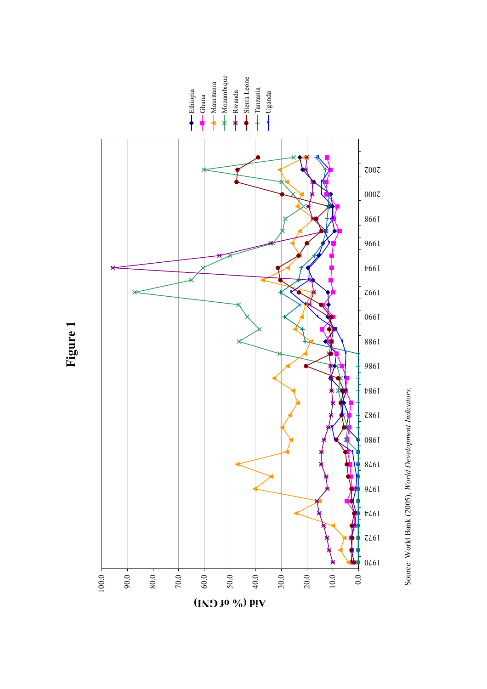

**Figure 1** 

Source: World Bank (2005), World Development Indicators. Source: World Bank (2005), *World Development Indicators.*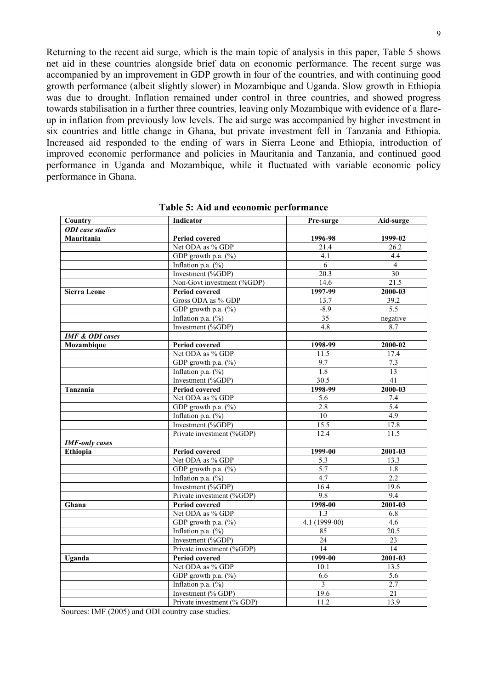Returning to the recent aid surge, which is the main topic of analysis in this paper, Table 5 shows net aid in these countries alongside brief data on economic performance. The recent surge was accompanied by an improvement in GDP growth in four of the countries, and with continuing good growth performance (albeit slightly slower) in Mozambique and Uganda. Slow growth in Ethiopia was due to drought. Inflation remained under control in three countries, and showed progress towards stabilisation in a further three countries, leaving only Mozambique with evidence of a flareup in inflation from previously low levels. The aid surge was accompanied by higher investment in six countries and little change in Ghana, but private investment fell in Tanzania and Ethiopia. Increased aid responded to the ending of wars in Sierra Leone and Ethiopia, introduction of improved economic performance and policies in Mauritania and Tanzania, and continued good performance in Uganda and Mozambique, while it fluctuated with variable economic policy performance in Ghana.

| Country                    | Indicator                  | Pre-surge        | Aid-surge         |
|----------------------------|----------------------------|------------------|-------------------|
| <b>ODI</b> case studies    |                            |                  |                   |
| Mauritania                 | <b>Period covered</b>      | 1996-98          | 1999-02           |
|                            | Net ODA as % GDP           | 21.4             | 26.2              |
|                            | GDP growth p.a. $(\%)$     | 4.1              | 4.4               |
|                            | Inflation p.a. $(\%)$      | 6                | $\overline{4}$    |
|                            | Investment (%GDP)          | 20.3             | $\overline{30}$   |
|                            | Non-Govt investment (%GDP) | 14.6             | 21.5              |
| <b>Sierra Leone</b>        | Period covered             | $1997-99$        | 2000-03           |
|                            | Gross ODA as % GDP         | 13.7             | 39.2              |
|                            | GDP growth p.a. $(\%)$     | $-8.9$           | 5.5               |
|                            | Inflation p.a. $(\%)$      | 35               | negative          |
|                            | Investment (%GDP)          | 4.8              | 8.7               |
| <b>IMF &amp; ODI cases</b> |                            |                  |                   |
| Mozambique                 | <b>Period covered</b>      | 1998-99          | $2000 - 02$       |
|                            | Net ODA as % GDP           | 11.5             | 17.4              |
|                            | GDP growth p.a. $(\%)$     | 9.7              | 7.3               |
|                            | Inflation p.a. $(\%)$      | $\overline{1.8}$ | 13                |
|                            | Investment (%GDP)          | 30.5             | 41                |
| Tanzania                   | <b>Period covered</b>      | 1998-99          | $2000 - 03$       |
|                            | Net ODA as % GDP           | 5.6              | 7.4               |
|                            | GDP growth p.a. (%)        | 2.8              | $\overline{5.4}$  |
|                            | Inflation p.a. $(\%)$      | 10               | 4.9               |
|                            | Investment (%GDP)          | 15.5             | $17.\overline{8}$ |
|                            | Private investment (%GDP)  | 12.4             | 11.5              |
| <b>IMF-only cases</b>      |                            |                  |                   |
| Ethiopia                   | Period covered             | 1999-00          | 2001-03           |
|                            | Net ODA as % GDP           | 5.3              | 13.3              |
|                            | GDP growth p.a. $(\%)$     | 5.7              | 1.8               |
|                            | Inflation p.a. $(\%)$      | 4.7              | 2.2               |
|                            | Investment (%GDP)          | 16.4             | 19.6              |
|                            | Private investment (%GDP)  | 9.8              | 9.4               |
| Ghana                      | <b>Period covered</b>      | 1998-00          | $2001 - 03$       |
|                            | Net ODA as % GDP           | 1.3              | 6.8               |
|                            | GDP growth p.a. (%)        | $4.1(1999-00)$   | 4.6               |
|                            | Inflation p.a. $(\%)$      | 85               | 20.5              |
|                            | Investment (%GDP)          | 24               | 23                |
|                            | Private investment (%GDP)  | $\overline{14}$  | $\overline{14}$   |
| Uganda                     | <b>Period covered</b>      | 1999-00          | 2001-03           |
|                            | Net ODA as % GDP           | 10.1             | 13.5              |
|                            | GDP growth p.a. $(\%)$     | 6.6              | $\overline{5.6}$  |
|                            | Inflation p.a. $(\%)$      | $\overline{3}$   | 2.7               |
|                            | Investment (% GDP)         | 19.6             | $\overline{21}$   |
|                            | Private investment (% GDP) | 11.2             | 13.9              |

**Table 5: Aid and economic performance** 

Sources: IMF (2005) and ODI country case studies.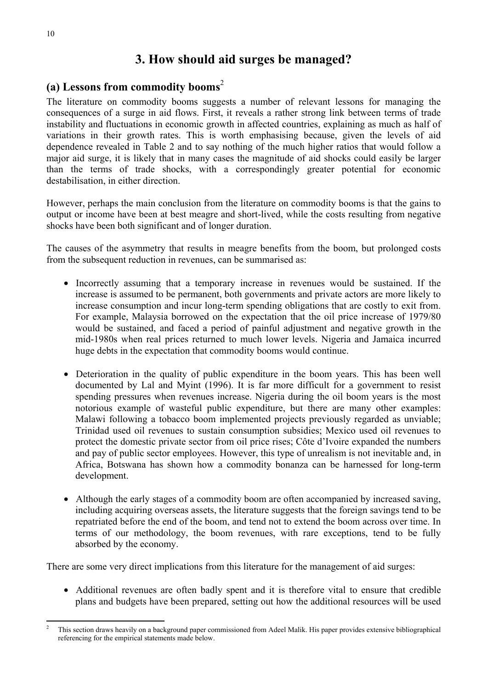## **3. How should aid surges be managed?**

#### **(a) Lessons from commodity booms**<sup>2</sup>

The literature on commodity booms suggests a number of relevant lessons for managing the consequences of a surge in aid flows. First, it reveals a rather strong link between terms of trade instability and fluctuations in economic growth in affected countries, explaining as much as half of variations in their growth rates. This is worth emphasising because, given the levels of aid dependence revealed in Table 2 and to say nothing of the much higher ratios that would follow a major aid surge, it is likely that in many cases the magnitude of aid shocks could easily be larger than the terms of trade shocks, with a correspondingly greater potential for economic destabilisation, in either direction.

However, perhaps the main conclusion from the literature on commodity booms is that the gains to output or income have been at best meagre and short-lived, while the costs resulting from negative shocks have been both significant and of longer duration.

The causes of the asymmetry that results in meagre benefits from the boom, but prolonged costs from the subsequent reduction in revenues, can be summarised as:

- Incorrectly assuming that a temporary increase in revenues would be sustained. If the increase is assumed to be permanent, both governments and private actors are more likely to increase consumption and incur long-term spending obligations that are costly to exit from. For example, Malaysia borrowed on the expectation that the oil price increase of 1979/80 would be sustained, and faced a period of painful adjustment and negative growth in the mid-1980s when real prices returned to much lower levels. Nigeria and Jamaica incurred huge debts in the expectation that commodity booms would continue.
- Deterioration in the quality of public expenditure in the boom years. This has been well documented by Lal and Myint (1996). It is far more difficult for a government to resist spending pressures when revenues increase. Nigeria during the oil boom years is the most notorious example of wasteful public expenditure, but there are many other examples: Malawi following a tobacco boom implemented projects previously regarded as unviable; Trinidad used oil revenues to sustain consumption subsidies; Mexico used oil revenues to protect the domestic private sector from oil price rises; Côte d'Ivoire expanded the numbers and pay of public sector employees. However, this type of unrealism is not inevitable and, in Africa, Botswana has shown how a commodity bonanza can be harnessed for long-term development.
- Although the early stages of a commodity boom are often accompanied by increased saving, including acquiring overseas assets, the literature suggests that the foreign savings tend to be repatriated before the end of the boom, and tend not to extend the boom across over time. In terms of our methodology, the boom revenues, with rare exceptions, tend to be fully absorbed by the economy.

There are some very direct implications from this literature for the management of aid surges:

• Additional revenues are often badly spent and it is therefore vital to ensure that credible plans and budgets have been prepared, setting out how the additional resources will be used

 $\overline{a}$ 2 This section draws heavily on a background paper commissioned from Adeel Malik. His paper provides extensive bibliographical referencing for the empirical statements made below.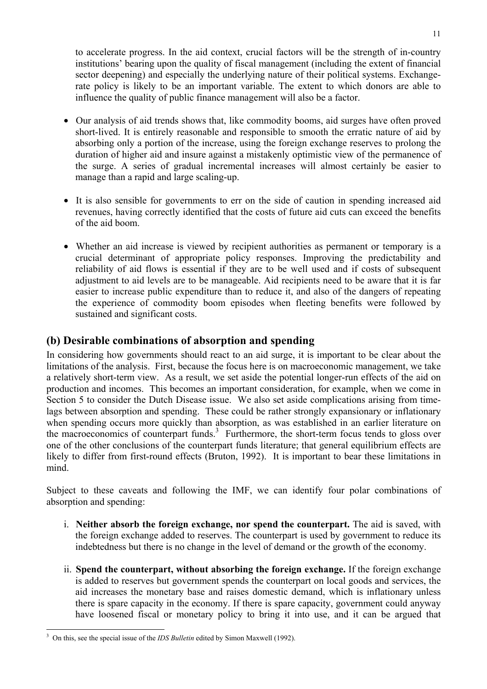to accelerate progress. In the aid context, crucial factors will be the strength of in-country institutions' bearing upon the quality of fiscal management (including the extent of financial sector deepening) and especially the underlying nature of their political systems. Exchangerate policy is likely to be an important variable. The extent to which donors are able to influence the quality of public finance management will also be a factor.

- Our analysis of aid trends shows that, like commodity booms, aid surges have often proved short-lived. It is entirely reasonable and responsible to smooth the erratic nature of aid by absorbing only a portion of the increase, using the foreign exchange reserves to prolong the duration of higher aid and insure against a mistakenly optimistic view of the permanence of the surge. A series of gradual incremental increases will almost certainly be easier to manage than a rapid and large scaling-up.
- It is also sensible for governments to err on the side of caution in spending increased aid revenues, having correctly identified that the costs of future aid cuts can exceed the benefits of the aid boom.
- Whether an aid increase is viewed by recipient authorities as permanent or temporary is a crucial determinant of appropriate policy responses. Improving the predictability and reliability of aid flows is essential if they are to be well used and if costs of subsequent adjustment to aid levels are to be manageable. Aid recipients need to be aware that it is far easier to increase public expenditure than to reduce it, and also of the dangers of repeating the experience of commodity boom episodes when fleeting benefits were followed by sustained and significant costs.

### **(b) Desirable combinations of absorption and spending**

In considering how governments should react to an aid surge, it is important to be clear about the limitations of the analysis. First, because the focus here is on macroeconomic management, we take a relatively short-term view. As a result, we set aside the potential longer-run effects of the aid on production and incomes. This becomes an important consideration, for example, when we come in Section 5 to consider the Dutch Disease issue. We also set aside complications arising from timelags between absorption and spending. These could be rather strongly expansionary or inflationary when spending occurs more quickly than absorption, as was established in an earlier literature on the macroeconomics of counterpart funds. $3$  Furthermore, the short-term focus tends to gloss over one of the other conclusions of the counterpart funds literature; that general equilibrium effects are likely to differ from first-round effects (Bruton, 1992). It is important to bear these limitations in mind.

Subject to these caveats and following the IMF, we can identify four polar combinations of absorption and spending:

- i. **Neither absorb the foreign exchange, nor spend the counterpart.** The aid is saved, with the foreign exchange added to reserves. The counterpart is used by government to reduce its indebtedness but there is no change in the level of demand or the growth of the economy.
- ii. **Spend the counterpart, without absorbing the foreign exchange.** If the foreign exchange is added to reserves but government spends the counterpart on local goods and services, the aid increases the monetary base and raises domestic demand, which is inflationary unless there is spare capacity in the economy. If there is spare capacity, government could anyway have loosened fiscal or monetary policy to bring it into use, and it can be argued that

 $\overline{a}$ 3 On this, see the special issue of the *IDS Bulletin* edited by Simon Maxwell (1992).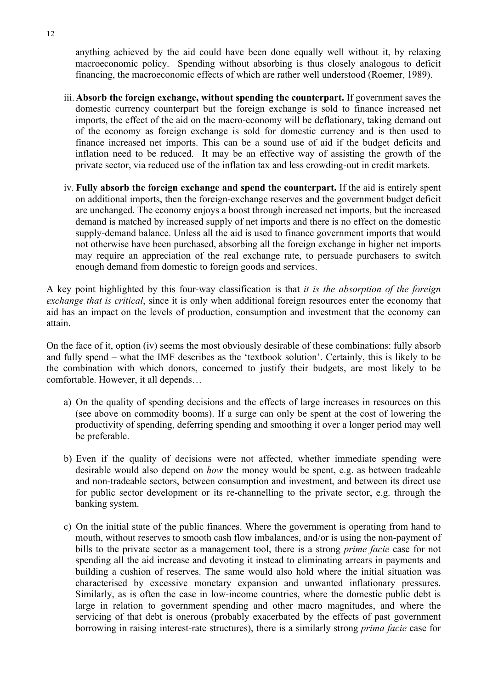anything achieved by the aid could have been done equally well without it, by relaxing macroeconomic policy. Spending without absorbing is thus closely analogous to deficit financing, the macroeconomic effects of which are rather well understood (Roemer, 1989).

- iii.**Absorb the foreign exchange, without spending the counterpart.** If government saves the domestic currency counterpart but the foreign exchange is sold to finance increased net imports, the effect of the aid on the macro-economy will be deflationary, taking demand out of the economy as foreign exchange is sold for domestic currency and is then used to finance increased net imports. This can be a sound use of aid if the budget deficits and inflation need to be reduced. It may be an effective way of assisting the growth of the private sector, via reduced use of the inflation tax and less crowding-out in credit markets.
- iv. **Fully absorb the foreign exchange and spend the counterpart.** If the aid is entirely spent on additional imports, then the foreign-exchange reserves and the government budget deficit are unchanged. The economy enjoys a boost through increased net imports, but the increased demand is matched by increased supply of net imports and there is no effect on the domestic supply-demand balance. Unless all the aid is used to finance government imports that would not otherwise have been purchased, absorbing all the foreign exchange in higher net imports may require an appreciation of the real exchange rate, to persuade purchasers to switch enough demand from domestic to foreign goods and services.

A key point highlighted by this four-way classification is that *it is the absorption of the foreign exchange that is critical*, since it is only when additional foreign resources enter the economy that aid has an impact on the levels of production, consumption and investment that the economy can attain.

On the face of it, option (iv) seems the most obviously desirable of these combinations: fully absorb and fully spend – what the IMF describes as the 'textbook solution'. Certainly, this is likely to be the combination with which donors, concerned to justify their budgets, are most likely to be comfortable. However, it all depends…

- a) On the quality of spending decisions and the effects of large increases in resources on this (see above on commodity booms). If a surge can only be spent at the cost of lowering the productivity of spending, deferring spending and smoothing it over a longer period may well be preferable.
- b) Even if the quality of decisions were not affected, whether immediate spending were desirable would also depend on *how* the money would be spent, e.g. as between tradeable and non-tradeable sectors, between consumption and investment, and between its direct use for public sector development or its re-channelling to the private sector, e.g. through the banking system.
- c) On the initial state of the public finances. Where the government is operating from hand to mouth, without reserves to smooth cash flow imbalances, and/or is using the non-payment of bills to the private sector as a management tool, there is a strong *prime facie* case for not spending all the aid increase and devoting it instead to eliminating arrears in payments and building a cushion of reserves. The same would also hold where the initial situation was characterised by excessive monetary expansion and unwanted inflationary pressures. Similarly, as is often the case in low-income countries, where the domestic public debt is large in relation to government spending and other macro magnitudes, and where the servicing of that debt is onerous (probably exacerbated by the effects of past government borrowing in raising interest-rate structures), there is a similarly strong *prima facie* case for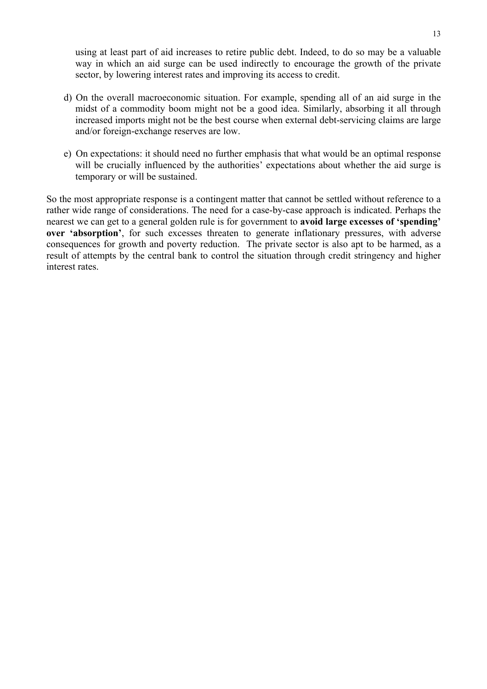using at least part of aid increases to retire public debt. Indeed, to do so may be a valuable way in which an aid surge can be used indirectly to encourage the growth of the private sector, by lowering interest rates and improving its access to credit.

- d) On the overall macroeconomic situation. For example, spending all of an aid surge in the midst of a commodity boom might not be a good idea. Similarly, absorbing it all through increased imports might not be the best course when external debt-servicing claims are large and/or foreign-exchange reserves are low.
- e) On expectations: it should need no further emphasis that what would be an optimal response will be crucially influenced by the authorities' expectations about whether the aid surge is temporary or will be sustained.

So the most appropriate response is a contingent matter that cannot be settled without reference to a rather wide range of considerations. The need for a case-by-case approach is indicated. Perhaps the nearest we can get to a general golden rule is for government to **avoid large excesses of 'spending' over 'absorption'**, for such excesses threaten to generate inflationary pressures, with adverse consequences for growth and poverty reduction. The private sector is also apt to be harmed, as a result of attempts by the central bank to control the situation through credit stringency and higher interest rates.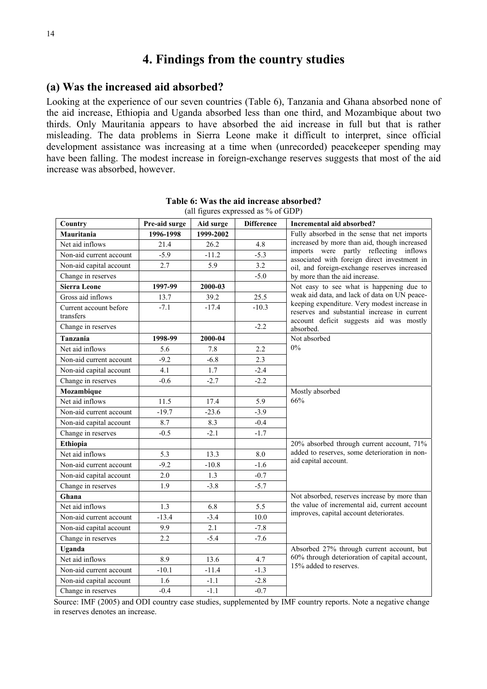### **4. Findings from the country studies**

#### **(a) Was the increased aid absorbed?**

Looking at the experience of our seven countries (Table 6), Tanzania and Ghana absorbed none of the aid increase, Ethiopia and Uganda absorbed less than one third, and Mozambique about two thirds. Only Mauritania appears to have absorbed the aid increase in full but that is rather misleading. The data problems in Sierra Leone make it difficult to interpret, since official development assistance was increasing at a time when (unrecorded) peacekeeper spending may have been falling. The modest increase in foreign-exchange reserves suggests that most of the aid increase was absorbed, however.

| Country                             | Pre-aid surge | Aid surge | <b>Difference</b> | Incremental aid absorbed?                                                                                                               |
|-------------------------------------|---------------|-----------|-------------------|-----------------------------------------------------------------------------------------------------------------------------------------|
| Mauritania                          | 1996-1998     | 1999-2002 |                   | Fully absorbed in the sense that net imports                                                                                            |
| Net aid inflows                     | 21.4          | 26.2      | 4.8               | increased by more than aid, though increased                                                                                            |
| Non-aid current account             | $-5.9$        | $-11.2$   | $-5.3$            | imports were partly reflecting inflows<br>associated with foreign direct investment in                                                  |
| Non-aid capital account             | 2.7           | 5.9       | 3.2               | oil, and foreign-exchange reserves increased                                                                                            |
| Change in reserves                  |               |           | $-5.0$            | by more than the aid increase.                                                                                                          |
| <b>Sierra Leone</b>                 | 1997-99       | 2000-03   |                   | Not easy to see what is happening due to                                                                                                |
| Gross aid inflows                   | 13.7          | 39.2      | 25.5              | weak aid data, and lack of data on UN peace-                                                                                            |
| Current account before<br>transfers | $-7.1$        | $-17.4$   | $-10.3$           | keeping expenditure. Very modest increase in<br>reserves and substantial increase in current<br>account deficit suggests aid was mostly |
| Change in reserves                  |               |           | $-2.2$            | absorbed.                                                                                                                               |
| Tanzania                            | 1998-99       | 2000-04   |                   | Not absorbed                                                                                                                            |
| Net aid inflows                     | 5.6           | 7.8       | 2.2               | 0%                                                                                                                                      |
| Non-aid current account             | $-9.2$        | $-6.8$    | 2.3               |                                                                                                                                         |
| Non-aid capital account             | 4.1           | 1.7       | $-2.4$            |                                                                                                                                         |
| Change in reserves                  | $-0.6$        | $-2.7$    | $-2.2$            |                                                                                                                                         |
| Mozambique                          |               |           |                   | Mostly absorbed                                                                                                                         |
| Net aid inflows                     | 11.5          | 17.4      | 5.9               | 66%                                                                                                                                     |
| Non-aid current account             | $-19.7$       | $-23.6$   | $-3.9$            |                                                                                                                                         |
| Non-aid capital account             | 8.7           | 8.3       | $-0.4$            |                                                                                                                                         |
| Change in reserves                  | $-0.5$        | $-2.1$    | $-1.7$            |                                                                                                                                         |
| Ethiopia                            |               |           |                   | 20% absorbed through current account, 71%                                                                                               |
| Net aid inflows                     | 5.3           | 13.3      | 8.0               | added to reserves, some deterioration in non-                                                                                           |
| Non-aid current account             | $-9.2$        | $-10.8$   | $-1.6$            | aid capital account.                                                                                                                    |
| Non-aid capital account             | 2.0           | 1.3       | $-0.7$            |                                                                                                                                         |
| Change in reserves                  | 1.9           | $-3.8$    | $-5.7$            |                                                                                                                                         |
| Ghana                               |               |           |                   | Not absorbed, reserves increase by more than                                                                                            |
| Net aid inflows                     | 1.3           | 6.8       | 5.5               | the value of incremental aid, current account                                                                                           |
| Non-aid current account             | $-13.4$       | $-3.4$    | 10.0              | improves, capital account deteriorates.                                                                                                 |
| Non-aid capital account             | 9.9           | 2.1       | $-7.8$            |                                                                                                                                         |
| Change in reserves                  | 2.2           | $-5.4$    | $-7.6$            |                                                                                                                                         |
| Uganda                              |               |           |                   | Absorbed 27% through current account, but                                                                                               |
| Net aid inflows                     | 8.9           | 13.6      | 4.7               | 60% through deterioration of capital account,                                                                                           |
| Non-aid current account             | $-10.1$       | $-11.4$   | $-1.3$            | 15% added to reserves.                                                                                                                  |
| Non-aid capital account             | 1.6           | $-1.1$    | $-2.8$            |                                                                                                                                         |
| Change in reserves                  | $-0.4$        | $-1.1$    | $-0.7$            |                                                                                                                                         |

**Table 6: Was the aid increase absorbed?**  (all figures expressed as % of GDP)

Source: IMF (2005) and ODI country case studies, supplemented by IMF country reports. Note a negative change in reserves denotes an increase.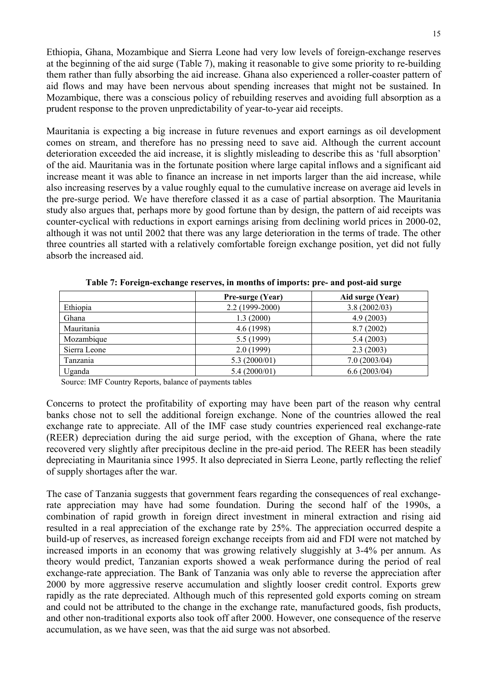Ethiopia, Ghana, Mozambique and Sierra Leone had very low levels of foreign-exchange reserves at the beginning of the aid surge (Table 7), making it reasonable to give some priority to re-building them rather than fully absorbing the aid increase. Ghana also experienced a roller-coaster pattern of aid flows and may have been nervous about spending increases that might not be sustained. In Mozambique, there was a conscious policy of rebuilding reserves and avoiding full absorption as a prudent response to the proven unpredictability of year-to-year aid receipts.

Mauritania is expecting a big increase in future revenues and export earnings as oil development comes on stream, and therefore has no pressing need to save aid. Although the current account deterioration exceeded the aid increase, it is slightly misleading to describe this as 'full absorption' of the aid. Mauritania was in the fortunate position where large capital inflows and a significant aid increase meant it was able to finance an increase in net imports larger than the aid increase, while also increasing reserves by a value roughly equal to the cumulative increase on average aid levels in the pre-surge period. We have therefore classed it as a case of partial absorption. The Mauritania study also argues that, perhaps more by good fortune than by design, the pattern of aid receipts was counter-cyclical with reductions in export earnings arising from declining world prices in 2000-02, although it was not until 2002 that there was any large deterioration in the terms of trade. The other three countries all started with a relatively comfortable foreign exchange position, yet did not fully absorb the increased aid.

|              | Pre-surge (Year) | Aid surge (Year) |
|--------------|------------------|------------------|
| Ethiopia     | 2.2 (1999-2000)  | 3.8(2002/03)     |
| Ghana        | 1.3(2000)        | 4.9(2003)        |
| Mauritania   | 4.6 (1998)       | 8.7(2002)        |
| Mozambique   | 5.5 (1999)       | 5.4(2003)        |
| Sierra Leone | 2.0(1999)        | 2.3(2003)        |
| Tanzania     | 5.3(2000/01)     | 7.0(2003/04)     |
| Uganda       | 5.4(2000/01)     | 6.6(2003/04)     |

**Table 7: Foreign-exchange reserves, in months of imports: pre- and post-aid surge** 

Source: IMF Country Reports, balance of payments tables

Concerns to protect the profitability of exporting may have been part of the reason why central banks chose not to sell the additional foreign exchange. None of the countries allowed the real exchange rate to appreciate. All of the IMF case study countries experienced real exchange-rate (REER) depreciation during the aid surge period, with the exception of Ghana, where the rate recovered very slightly after precipitous decline in the pre-aid period. The REER has been steadily depreciating in Mauritania since 1995. It also depreciated in Sierra Leone, partly reflecting the relief of supply shortages after the war.

The case of Tanzania suggests that government fears regarding the consequences of real exchangerate appreciation may have had some foundation. During the second half of the 1990s, a combination of rapid growth in foreign direct investment in mineral extraction and rising aid resulted in a real appreciation of the exchange rate by 25%. The appreciation occurred despite a build-up of reserves, as increased foreign exchange receipts from aid and FDI were not matched by increased imports in an economy that was growing relatively sluggishly at 3-4% per annum. As theory would predict, Tanzanian exports showed a weak performance during the period of real exchange-rate appreciation. The Bank of Tanzania was only able to reverse the appreciation after 2000 by more aggressive reserve accumulation and slightly looser credit control. Exports grew rapidly as the rate depreciated. Although much of this represented gold exports coming on stream and could not be attributed to the change in the exchange rate, manufactured goods, fish products, and other non-traditional exports also took off after 2000. However, one consequence of the reserve accumulation, as we have seen, was that the aid surge was not absorbed.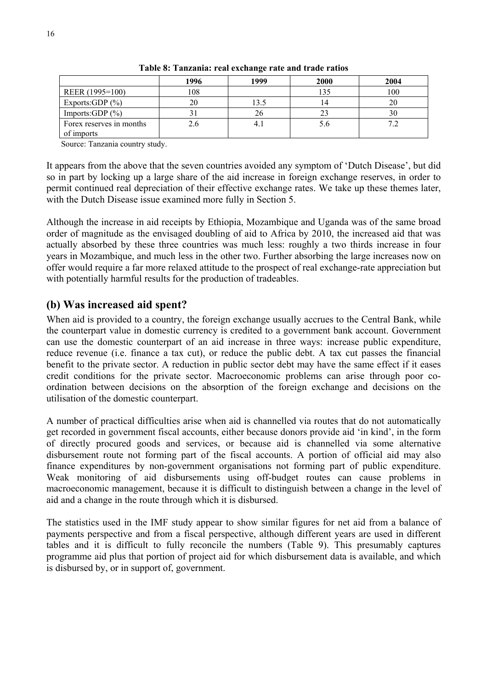|                                        | 1996 | 1999 | 2000           | 2004 |
|----------------------------------------|------|------|----------------|------|
| REER (1995=100)                        | 108  |      | 135            | 100  |
| Exports:GDP $(\% )$                    | 20   | 13.5 | $\overline{4}$ | 20   |
| Imports: $GDP$ (%)                     |      | 26   | 23             | 30   |
| Forex reserves in months<br>of imports |      | 4.1  | 5.6            |      |

**Table 8: Tanzania: real exchange rate and trade ratios** 

Source: Tanzania country study.

It appears from the above that the seven countries avoided any symptom of 'Dutch Disease', but did so in part by locking up a large share of the aid increase in foreign exchange reserves, in order to permit continued real depreciation of their effective exchange rates. We take up these themes later, with the Dutch Disease issue examined more fully in Section 5.

Although the increase in aid receipts by Ethiopia, Mozambique and Uganda was of the same broad order of magnitude as the envisaged doubling of aid to Africa by 2010, the increased aid that was actually absorbed by these three countries was much less: roughly a two thirds increase in four years in Mozambique, and much less in the other two. Further absorbing the large increases now on offer would require a far more relaxed attitude to the prospect of real exchange-rate appreciation but with potentially harmful results for the production of tradeables.

#### **(b) Was increased aid spent?**

When aid is provided to a country, the foreign exchange usually accrues to the Central Bank, while the counterpart value in domestic currency is credited to a government bank account. Government can use the domestic counterpart of an aid increase in three ways: increase public expenditure, reduce revenue (i.e. finance a tax cut), or reduce the public debt. A tax cut passes the financial benefit to the private sector. A reduction in public sector debt may have the same effect if it eases credit conditions for the private sector. Macroeconomic problems can arise through poor coordination between decisions on the absorption of the foreign exchange and decisions on the utilisation of the domestic counterpart.

A number of practical difficulties arise when aid is channelled via routes that do not automatically get recorded in government fiscal accounts, either because donors provide aid 'in kind', in the form of directly procured goods and services, or because aid is channelled via some alternative disbursement route not forming part of the fiscal accounts. A portion of official aid may also finance expenditures by non-government organisations not forming part of public expenditure. Weak monitoring of aid disbursements using off-budget routes can cause problems in macroeconomic management, because it is difficult to distinguish between a change in the level of aid and a change in the route through which it is disbursed.

The statistics used in the IMF study appear to show similar figures for net aid from a balance of payments perspective and from a fiscal perspective, although different years are used in different tables and it is difficult to fully reconcile the numbers (Table 9). This presumably captures programme aid plus that portion of project aid for which disbursement data is available, and which is disbursed by, or in support of, government.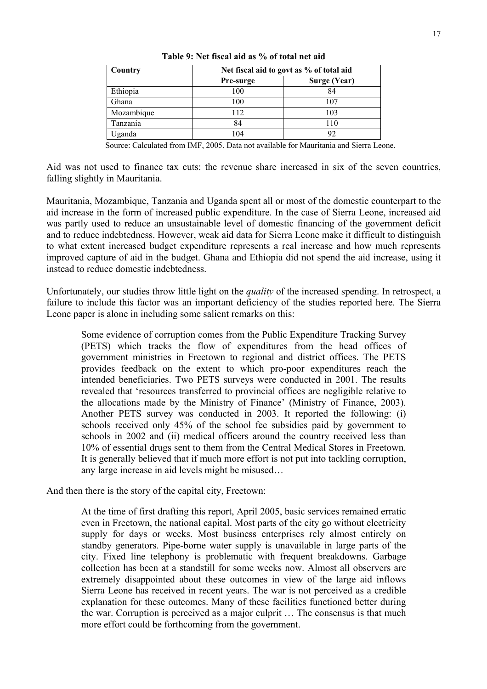| Country    | Net fiscal aid to govt as % of total aid |              |  |  |  |  |  |
|------------|------------------------------------------|--------------|--|--|--|--|--|
|            | Pre-surge                                | Surge (Year) |  |  |  |  |  |
| Ethiopia   | 100                                      | 84           |  |  |  |  |  |
| Ghana      | 100                                      | 107          |  |  |  |  |  |
| Mozambique | 112                                      | 103          |  |  |  |  |  |
| Tanzania   | 84                                       | 110          |  |  |  |  |  |
| Uganda     | 104                                      | 92           |  |  |  |  |  |

**Table 9: Net fiscal aid as % of total net aid** 

Source: Calculated from IMF, 2005. Data not available for Mauritania and Sierra Leone.

Aid was not used to finance tax cuts: the revenue share increased in six of the seven countries, falling slightly in Mauritania.

Mauritania, Mozambique, Tanzania and Uganda spent all or most of the domestic counterpart to the aid increase in the form of increased public expenditure. In the case of Sierra Leone, increased aid was partly used to reduce an unsustainable level of domestic financing of the government deficit and to reduce indebtedness. However, weak aid data for Sierra Leone make it difficult to distinguish to what extent increased budget expenditure represents a real increase and how much represents improved capture of aid in the budget. Ghana and Ethiopia did not spend the aid increase, using it instead to reduce domestic indebtedness.

Unfortunately, our studies throw little light on the *quality* of the increased spending. In retrospect, a failure to include this factor was an important deficiency of the studies reported here. The Sierra Leone paper is alone in including some salient remarks on this:

Some evidence of corruption comes from the Public Expenditure Tracking Survey (PETS) which tracks the flow of expenditures from the head offices of government ministries in Freetown to regional and district offices. The PETS provides feedback on the extent to which pro-poor expenditures reach the intended beneficiaries. Two PETS surveys were conducted in 2001. The results revealed that 'resources transferred to provincial offices are negligible relative to the allocations made by the Ministry of Finance' (Ministry of Finance, 2003). Another PETS survey was conducted in 2003. It reported the following: (i) schools received only 45% of the school fee subsidies paid by government to schools in 2002 and (ii) medical officers around the country received less than 10% of essential drugs sent to them from the Central Medical Stores in Freetown. It is generally believed that if much more effort is not put into tackling corruption, any large increase in aid levels might be misused…

And then there is the story of the capital city, Freetown:

At the time of first drafting this report, April 2005, basic services remained erratic even in Freetown, the national capital. Most parts of the city go without electricity supply for days or weeks. Most business enterprises rely almost entirely on standby generators. Pipe-borne water supply is unavailable in large parts of the city. Fixed line telephony is problematic with frequent breakdowns. Garbage collection has been at a standstill for some weeks now. Almost all observers are extremely disappointed about these outcomes in view of the large aid inflows Sierra Leone has received in recent years. The war is not perceived as a credible explanation for these outcomes. Many of these facilities functioned better during the war. Corruption is perceived as a major culprit … The consensus is that much more effort could be forthcoming from the government.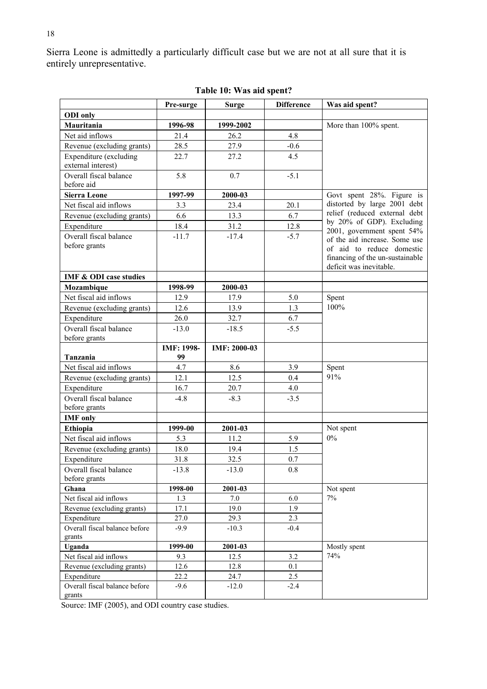Sierra Leone is admittedly a particularly difficult case but we are not at all sure that it is entirely unrepresentative.

|                                       | Pre-surge  | <b>Surge</b> | <b>Difference</b> | Was aid spent?                                             |
|---------------------------------------|------------|--------------|-------------------|------------------------------------------------------------|
| <b>ODI</b> only                       |            |              |                   |                                                            |
| Mauritania                            | 1996-98    | 1999-2002    |                   | More than 100% spent.                                      |
| Net aid inflows                       | 21.4       | 26.2         | 4.8               |                                                            |
| Revenue (excluding grants)            | 28.5       | 27.9         | $-0.6$            |                                                            |
| Expenditure (excluding                | 22.7       | 27.2         | 4.5               |                                                            |
| external interest)                    |            |              |                   |                                                            |
| Overall fiscal balance                | 5.8        | 0.7          | $-5.1$            |                                                            |
| before aid                            |            |              |                   |                                                            |
| <b>Sierra Leone</b>                   | 1997-99    | 2000-03      |                   | Govt spent 28%. Figure is                                  |
| Net fiscal aid inflows                | 3.3        | 23.4         | 20.1              | distorted by large 2001 debt                               |
| Revenue (excluding grants)            | 6.6        | 13.3         | 6.7               | relief (reduced external debt<br>by 20% of GDP). Excluding |
| Expenditure                           | 18.4       | 31.2         | 12.8              | 2001, government spent 54%                                 |
| Overall fiscal balance                | $-11.7$    | $-17.4$      | $-5.7$            | of the aid increase. Some use                              |
| before grants                         |            |              |                   | of aid to reduce domestic                                  |
|                                       |            |              |                   | financing of the un-sustainable                            |
|                                       |            |              |                   | deficit was inevitable.                                    |
| <b>IMF &amp; ODI case studies</b>     |            |              |                   |                                                            |
| Mozambique                            | 1998-99    | 2000-03      |                   |                                                            |
| Net fiscal aid inflows                | 12.9       | 17.9         | 5.0               | Spent                                                      |
| Revenue (excluding grants)            | 12.6       | 13.9         | 1.3               | 100%                                                       |
| Expenditure                           | 26.0       | 32.7         | 6.7               |                                                            |
| Overall fiscal balance                | $-13.0$    | $-18.5$      | $-5.5$            |                                                            |
| before grants                         |            |              |                   |                                                            |
|                                       | IMF: 1998- | IMF: 2000-03 |                   |                                                            |
| Tanzania<br>Net fiscal aid inflows    | 99<br>4.7  | 8.6          | 3.9               |                                                            |
|                                       |            | 12.5         |                   | Spent<br>91%                                               |
| Revenue (excluding grants)            | 12.1       |              | 0.4               |                                                            |
| Expenditure<br>Overall fiscal balance | 16.7       | 20.7         | 4.0               |                                                            |
| before grants                         | $-4.8$     | $-8.3$       | $-3.5$            |                                                            |
| <b>IMF</b> only                       |            |              |                   |                                                            |
| <b>Ethiopia</b>                       | 1999-00    | 2001-03      |                   | Not spent                                                  |
| Net fiscal aid inflows                | 5.3        | 11.2         | 5.9               | $0\%$                                                      |
| Revenue (excluding grants)            | 18.0       | 19.4         | 1.5               |                                                            |
| Expenditure                           | 31.8       | 32.5         | 0.7               |                                                            |
| Overall fiscal balance                | $-13.8$    | $-13.0$      | $0.8\,$           |                                                            |
| before grants                         |            |              |                   |                                                            |
| Ghana                                 | 1998-00    | 2001-03      |                   | Not spent                                                  |
| Net fiscal aid inflows                | 1.3        | 7.0          | 6.0               | 7%                                                         |
| Revenue (excluding grants)            | 17.1       | 19.0         | 1.9               |                                                            |
| Expenditure                           | 27.0       | 29.3         | 2.3               |                                                            |
| Overall fiscal balance before         | $-9.9$     | $-10.3$      | $-0.4$            |                                                            |
| grants                                |            |              |                   |                                                            |
| Uganda                                | 1999-00    | 2001-03      |                   | Mostly spent                                               |
| Net fiscal aid inflows                | 9.3        | 12.5         | 3.2               | 74%                                                        |
| Revenue (excluding grants)            | 12.6       | 12.8         | 0.1               |                                                            |
| Expenditure                           | 22.2       | 24.7         | 2.5               |                                                            |
| Overall fiscal balance before         | $-9.6$     | $-12.0$      | $-2.4$            |                                                            |
| grants                                |            |              |                   |                                                            |

**Table 10: Was aid spent?** 

Source: IMF (2005), and ODI country case studies.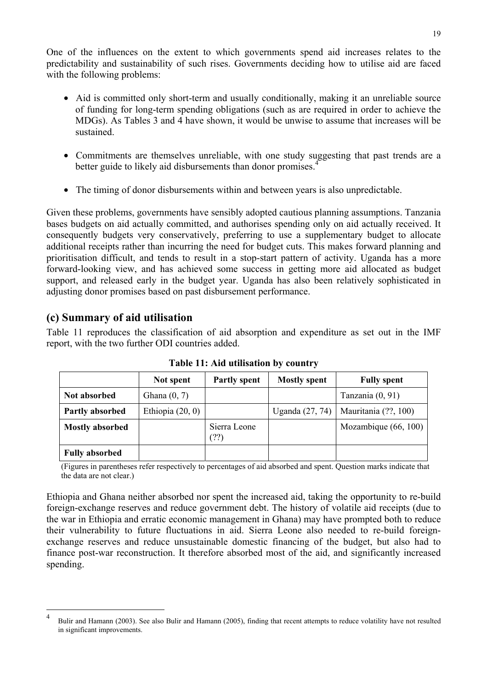One of the influences on the extent to which governments spend aid increases relates to the predictability and sustainability of such rises. Governments deciding how to utilise aid are faced with the following problems:

- Aid is committed only short-term and usually conditionally, making it an unreliable source of funding for long-term spending obligations (such as are required in order to achieve the MDGs). As Tables 3 and 4 have shown, it would be unwise to assume that increases will be sustained.
- Commitments are themselves unreliable, with one study suggesting that past trends are a better guide to likely aid disbursements than donor promises.<sup>4</sup>
- The timing of donor disbursements within and between years is also unpredictable.

Given these problems, governments have sensibly adopted cautious planning assumptions. Tanzania bases budgets on aid actually committed, and authorises spending only on aid actually received. It consequently budgets very conservatively, preferring to use a supplementary budget to allocate additional receipts rather than incurring the need for budget cuts. This makes forward planning and prioritisation difficult, and tends to result in a stop-start pattern of activity. Uganda has a more forward-looking view, and has achieved some success in getting more aid allocated as budget support, and released early in the budget year. Uganda has also been relatively sophisticated in adjusting donor promises based on past disbursement performance.

### **(c) Summary of aid utilisation**

 $\overline{a}$ 

Table 11 reproduces the classification of aid absorption and expenditure as set out in the IMF report, with the two further ODI countries added.

|                        | Not spent          | <b>Partly spent</b> | <b>Mostly spent</b> | <b>Fully spent</b>   |
|------------------------|--------------------|---------------------|---------------------|----------------------|
| Not absorbed           | Ghana $(0, 7)$     |                     |                     | Tanzania (0, 91)     |
| Partly absorbed        | Ethiopia $(20, 0)$ |                     | Uganda $(27, 74)$   | Mauritania (??, 100) |
| <b>Mostly absorbed</b> |                    | Sierra Leone<br>(?) |                     | Mozambique (66, 100) |
| <b>Fully absorbed</b>  |                    |                     |                     |                      |

**Table 11: Aid utilisation by country** 

(Figures in parentheses refer respectively to percentages of aid absorbed and spent. Question marks indicate that the data are not clear.)

Ethiopia and Ghana neither absorbed nor spent the increased aid, taking the opportunity to re-build foreign-exchange reserves and reduce government debt. The history of volatile aid receipts (due to the war in Ethiopia and erratic economic management in Ghana) may have prompted both to reduce their vulnerability to future fluctuations in aid. Sierra Leone also needed to re-build foreignexchange reserves and reduce unsustainable domestic financing of the budget, but also had to finance post-war reconstruction. It therefore absorbed most of the aid, and significantly increased spending.

<sup>4</sup> Bulir and Hamann (2003). See also Bulir and Hamann (2005), finding that recent attempts to reduce volatility have not resulted in significant improvements.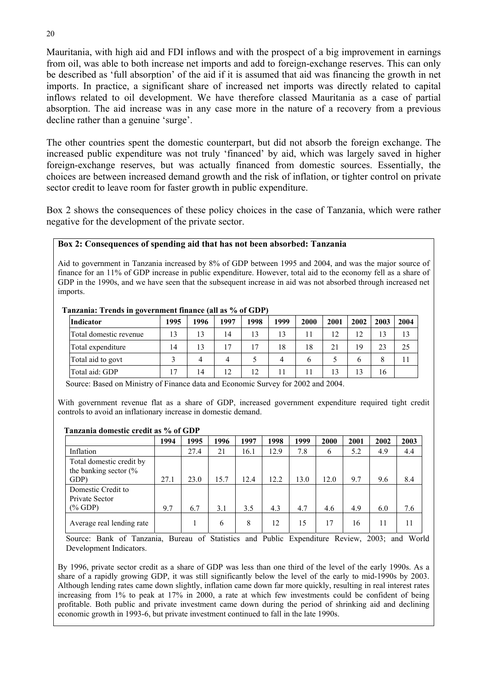Mauritania, with high aid and FDI inflows and with the prospect of a big improvement in earnings from oil, was able to both increase net imports and add to foreign-exchange reserves. This can only be described as 'full absorption' of the aid if it is assumed that aid was financing the growth in net imports. In practice, a significant share of increased net imports was directly related to capital inflows related to oil development. We have therefore classed Mauritania as a case of partial absorption. The aid increase was in any case more in the nature of a recovery from a previous decline rather than a genuine 'surge'.

The other countries spent the domestic counterpart, but did not absorb the foreign exchange. The increased public expenditure was not truly 'financed' by aid, which was largely saved in higher foreign-exchange reserves, but was actually financed from domestic sources. Essentially, the choices are between increased demand growth and the risk of inflation, or tighter control on private sector credit to leave room for faster growth in public expenditure.

Box 2 shows the consequences of these policy choices in the case of Tanzania, which were rather negative for the development of the private sector.

#### **Box 2: Consequences of spending aid that has not been absorbed: Tanzania**

Aid to government in Tanzania increased by 8% of GDP between 1995 and 2004, and was the major source of finance for an 11% of GDP increase in public expenditure. However, total aid to the economy fell as a share of GDP in the 1990s, and we have seen that the subsequent increase in aid was not absorbed through increased net imports.

| Tanzania: Trends in government finance (all as % of GDP) |  |
|----------------------------------------------------------|--|
|----------------------------------------------------------|--|

| Indicator              | 1995 | 1996 | 1997 | 1998 | 1999 | 2000         | 2001 | 2002 | 2003 | 2004 |
|------------------------|------|------|------|------|------|--------------|------|------|------|------|
| Total domestic revenue | 13   | 13   | 14   | 13   | 13   |              | 12   | 12   |      | 13   |
| Total expenditure      | 14   | 13   | 17   | 17   | 18   | 18           | 21   | 19   | 23   | 25   |
| Total aid to govt      |      | 4    | 4    |      | 4    | <sub>b</sub> |      | O    |      |      |
| Total aid: GDP         | 17   | 14   | 12   | 12   |      |              |      | 13   | 16   |      |

Source: Based on Ministry of Finance data and Economic Survey for 2002 and 2004.

With government revenue flat as a share of GDP, increased government expenditure required tight credit controls to avoid an inflationary increase in domestic demand.

#### **Tanzania domestic credit as % of GDP**

|                                                                      | 1994 | 1995 | 1996 | 1997 | 1998 | 1999 | 2000 | 2001 | 2002 | 2003 |
|----------------------------------------------------------------------|------|------|------|------|------|------|------|------|------|------|
| Inflation                                                            |      | 27.4 | 21   | 16.1 | 12.9 | 7.8  | 6    | 5.2  | 4.9  | 4.4  |
| Total domestic credit by<br>the banking sector $\frac{6}{6}$<br>GDP) | 27.1 | 23.0 | 15.7 | 12.4 | 12.2 | 13.0 | 12.0 | 9.7  | 9.6  | 8.4  |
| Domestic Credit to<br>Private Sector<br>$(\%$ GDP)                   | 9.7  | 6.7  | 3.1  | 3.5  | 4.3  | 4.7  | 4.6  | 4.9  | 6.0  | 7.6  |
| Average real lending rate                                            |      |      | 6    | 8    | 12   | 15   | 17   | 16   | 11   | 11   |

Source: Bank of Tanzania, Bureau of Statistics and Public Expenditure Review, 2003; and World Development Indicators.

By 1996, private sector credit as a share of GDP was less than one third of the level of the early 1990s. As a share of a rapidly growing GDP, it was still significantly below the level of the early to mid-1990s by 2003. Although lending rates came down slightly, inflation came down far more quickly, resulting in real interest rates increasing from 1% to peak at 17% in 2000, a rate at which few investments could be confident of being profitable. Both public and private investment came down during the period of shrinking aid and declining economic growth in 1993-6, but private investment continued to fall in the late 1990s.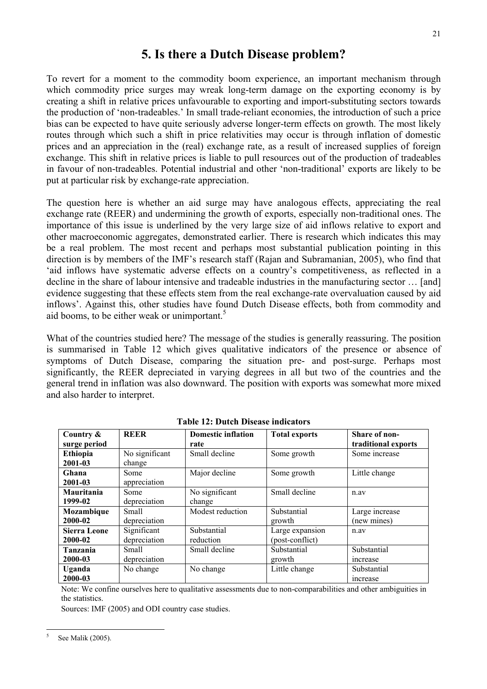### **5. Is there a Dutch Disease problem?**

To revert for a moment to the commodity boom experience, an important mechanism through which commodity price surges may wreak long-term damage on the exporting economy is by creating a shift in relative prices unfavourable to exporting and import-substituting sectors towards the production of 'non-tradeables.' In small trade-reliant economies, the introduction of such a price bias can be expected to have quite seriously adverse longer-term effects on growth. The most likely routes through which such a shift in price relativities may occur is through inflation of domestic prices and an appreciation in the (real) exchange rate, as a result of increased supplies of foreign exchange. This shift in relative prices is liable to pull resources out of the production of tradeables in favour of non-tradeables. Potential industrial and other 'non-traditional' exports are likely to be put at particular risk by exchange-rate appreciation.

The question here is whether an aid surge may have analogous effects, appreciating the real exchange rate (REER) and undermining the growth of exports, especially non-traditional ones. The importance of this issue is underlined by the very large size of aid inflows relative to export and other macroeconomic aggregates, demonstrated earlier. There is research which indicates this may be a real problem. The most recent and perhaps most substantial publication pointing in this direction is by members of the IMF's research staff (Rajan and Subramanian, 2005), who find that 'aid inflows have systematic adverse effects on a country's competitiveness, as reflected in a decline in the share of labour intensive and tradeable industries in the manufacturing sector … [and] evidence suggesting that these effects stem from the real exchange-rate overvaluation caused by aid inflows'. Against this, other studies have found Dutch Disease effects, both from commodity and aid booms, to be either weak or unimportant. $5$ 

What of the countries studied here? The message of the studies is generally reassuring. The position is summarised in Table 12 which gives qualitative indicators of the presence or absence of symptoms of Dutch Disease, comparing the situation pre- and post-surge. Perhaps most significantly, the REER depreciated in varying degrees in all but two of the countries and the general trend in inflation was also downward. The position with exports was somewhat more mixed and also harder to interpret.

| Country &           | <b>REER</b>    | <b>Domestic inflation</b> | <b>Total exports</b> | Share of non-       |
|---------------------|----------------|---------------------------|----------------------|---------------------|
| surge period        |                | rate                      |                      | traditional exports |
| <b>Ethiopia</b>     | No significant | Small decline             | Some growth          | Some increase       |
| 2001-03             | change         |                           |                      |                     |
| Ghana               | Some           | Major decline             | Some growth          | Little change       |
| 2001-03             | appreciation   |                           |                      |                     |
| Mauritania          | Some           | No significant            | Small decline        | n.av                |
| 1999-02             | depreciation   | change                    |                      |                     |
| Mozambique          | Small          | Modest reduction          | Substantial          | Large increase      |
| 2000-02             | depreciation   |                           | growth               | (new mines)         |
| <b>Sierra Leone</b> | Significant    | Substantial               | Large expansion      | n.av                |
| 2000-02             | depreciation   | reduction                 | (post-conflict)      |                     |
| Tanzania            | Small          | Small decline             | Substantial          | Substantial         |
| 2000-03             | depreciation   |                           | growth               | increase            |
| Uganda              | No change      | No change                 | Little change        | Substantial         |
| 2000-03             |                |                           |                      | <i>ncrease</i>      |

**Table 12: Dutch Disease indicators** 

Note: We confine ourselves here to qualitative assessments due to non-comparabilities and other ambiguities in the statistics.

Sources: IMF (2005) and ODI country case studies.

 $\overline{a}$ 5 See Malik (2005).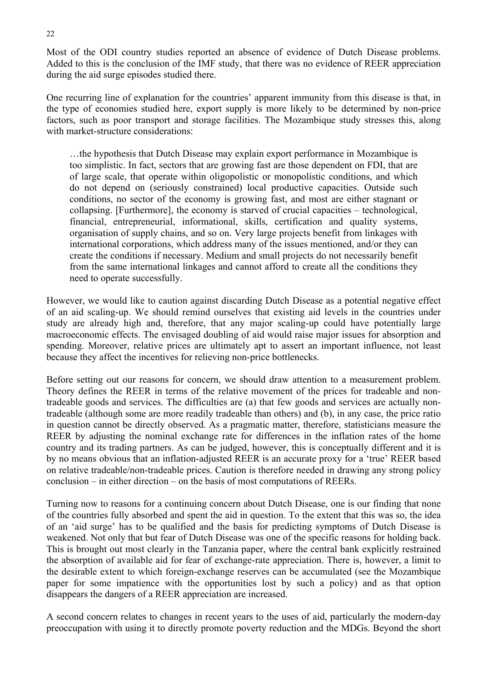Most of the ODI country studies reported an absence of evidence of Dutch Disease problems. Added to this is the conclusion of the IMF study, that there was no evidence of REER appreciation during the aid surge episodes studied there.

One recurring line of explanation for the countries' apparent immunity from this disease is that, in the type of economies studied here, export supply is more likely to be determined by non-price factors, such as poor transport and storage facilities. The Mozambique study stresses this, along with market-structure considerations:

…the hypothesis that Dutch Disease may explain export performance in Mozambique is too simplistic. In fact, sectors that are growing fast are those dependent on FDI, that are of large scale, that operate within oligopolistic or monopolistic conditions, and which do not depend on (seriously constrained) local productive capacities. Outside such conditions, no sector of the economy is growing fast, and most are either stagnant or collapsing. [Furthermore], the economy is starved of crucial capacities – technological, financial, entrepreneurial, informational, skills, certification and quality systems, organisation of supply chains, and so on. Very large projects benefit from linkages with international corporations, which address many of the issues mentioned, and/or they can create the conditions if necessary. Medium and small projects do not necessarily benefit from the same international linkages and cannot afford to create all the conditions they need to operate successfully.

However, we would like to caution against discarding Dutch Disease as a potential negative effect of an aid scaling-up. We should remind ourselves that existing aid levels in the countries under study are already high and, therefore, that any major scaling-up could have potentially large macroeconomic effects. The envisaged doubling of aid would raise major issues for absorption and spending. Moreover, relative prices are ultimately apt to assert an important influence, not least because they affect the incentives for relieving non-price bottlenecks.

Before setting out our reasons for concern, we should draw attention to a measurement problem. Theory defines the REER in terms of the relative movement of the prices for tradeable and nontradeable goods and services. The difficulties are (a) that few goods and services are actually nontradeable (although some are more readily tradeable than others) and (b), in any case, the price ratio in question cannot be directly observed. As a pragmatic matter, therefore, statisticians measure the REER by adjusting the nominal exchange rate for differences in the inflation rates of the home country and its trading partners. As can be judged, however, this is conceptually different and it is by no means obvious that an inflation-adjusted REER is an accurate proxy for a 'true' REER based on relative tradeable/non-tradeable prices. Caution is therefore needed in drawing any strong policy conclusion – in either direction – on the basis of most computations of REERs.

Turning now to reasons for a continuing concern about Dutch Disease, one is our finding that none of the countries fully absorbed and spent the aid in question. To the extent that this was so, the idea of an 'aid surge' has to be qualified and the basis for predicting symptoms of Dutch Disease is weakened. Not only that but fear of Dutch Disease was one of the specific reasons for holding back. This is brought out most clearly in the Tanzania paper, where the central bank explicitly restrained the absorption of available aid for fear of exchange-rate appreciation. There is, however, a limit to the desirable extent to which foreign-exchange reserves can be accumulated (see the Mozambique paper for some impatience with the opportunities lost by such a policy) and as that option disappears the dangers of a REER appreciation are increased.

A second concern relates to changes in recent years to the uses of aid, particularly the modern-day preoccupation with using it to directly promote poverty reduction and the MDGs. Beyond the short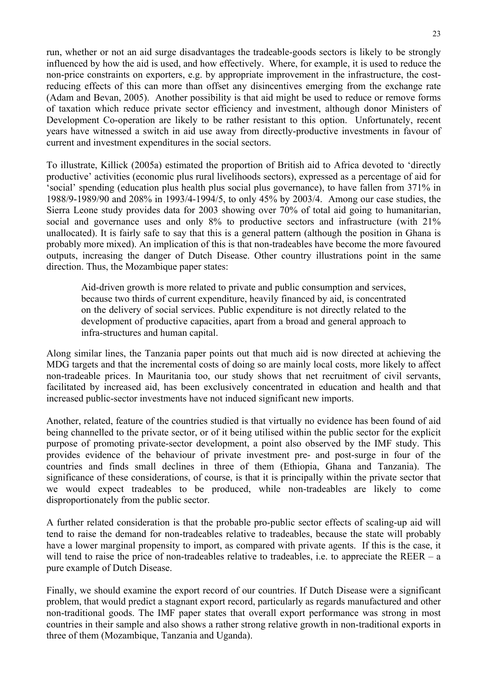run, whether or not an aid surge disadvantages the tradeable-goods sectors is likely to be strongly influenced by how the aid is used, and how effectively. Where, for example, it is used to reduce the non-price constraints on exporters, e.g. by appropriate improvement in the infrastructure, the costreducing effects of this can more than offset any disincentives emerging from the exchange rate (Adam and Bevan, 2005). Another possibility is that aid might be used to reduce or remove forms of taxation which reduce private sector efficiency and investment, although donor Ministers of Development Co-operation are likely to be rather resistant to this option. Unfortunately, recent years have witnessed a switch in aid use away from directly-productive investments in favour of current and investment expenditures in the social sectors.

To illustrate, Killick (2005a) estimated the proportion of British aid to Africa devoted to 'directly productive' activities (economic plus rural livelihoods sectors), expressed as a percentage of aid for 'social' spending (education plus health plus social plus governance), to have fallen from 371% in 1988/9-1989/90 and 208% in 1993/4-1994/5, to only 45% by 2003/4. Among our case studies, the Sierra Leone study provides data for 2003 showing over 70% of total aid going to humanitarian, social and governance uses and only 8% to productive sectors and infrastructure (with 21%) unallocated). It is fairly safe to say that this is a general pattern (although the position in Ghana is probably more mixed). An implication of this is that non-tradeables have become the more favoured outputs, increasing the danger of Dutch Disease. Other country illustrations point in the same direction. Thus, the Mozambique paper states:

Aid-driven growth is more related to private and public consumption and services, because two thirds of current expenditure, heavily financed by aid, is concentrated on the delivery of social services. Public expenditure is not directly related to the development of productive capacities, apart from a broad and general approach to infra-structures and human capital.

Along similar lines, the Tanzania paper points out that much aid is now directed at achieving the MDG targets and that the incremental costs of doing so are mainly local costs, more likely to affect non-tradeable prices. In Mauritania too, our study shows that net recruitment of civil servants, facilitated by increased aid, has been exclusively concentrated in education and health and that increased public-sector investments have not induced significant new imports.

Another, related, feature of the countries studied is that virtually no evidence has been found of aid being channelled to the private sector, or of it being utilised within the public sector for the explicit purpose of promoting private-sector development, a point also observed by the IMF study. This provides evidence of the behaviour of private investment pre- and post-surge in four of the countries and finds small declines in three of them (Ethiopia, Ghana and Tanzania). The significance of these considerations, of course, is that it is principally within the private sector that we would expect tradeables to be produced, while non-tradeables are likely to come disproportionately from the public sector.

A further related consideration is that the probable pro-public sector effects of scaling-up aid will tend to raise the demand for non-tradeables relative to tradeables, because the state will probably have a lower marginal propensity to import, as compared with private agents. If this is the case, it will tend to raise the price of non-tradeables relative to tradeables, i.e. to appreciate the REER – a pure example of Dutch Disease.

Finally, we should examine the export record of our countries. If Dutch Disease were a significant problem, that would predict a stagnant export record, particularly as regards manufactured and other non-traditional goods. The IMF paper states that overall export performance was strong in most countries in their sample and also shows a rather strong relative growth in non-traditional exports in three of them (Mozambique, Tanzania and Uganda).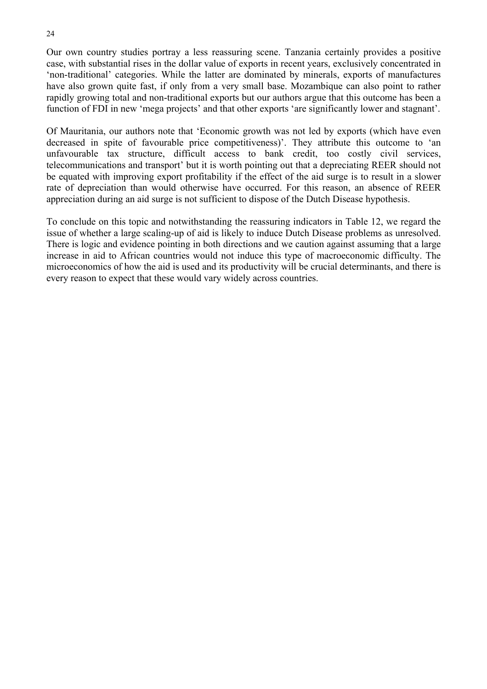Our own country studies portray a less reassuring scene. Tanzania certainly provides a positive case, with substantial rises in the dollar value of exports in recent years, exclusively concentrated in 'non-traditional' categories. While the latter are dominated by minerals, exports of manufactures have also grown quite fast, if only from a very small base. Mozambique can also point to rather rapidly growing total and non-traditional exports but our authors argue that this outcome has been a function of FDI in new 'mega projects' and that other exports 'are significantly lower and stagnant'.

Of Mauritania, our authors note that 'Economic growth was not led by exports (which have even decreased in spite of favourable price competitiveness)'. They attribute this outcome to 'an unfavourable tax structure, difficult access to bank credit, too costly civil services, telecommunications and transport' but it is worth pointing out that a depreciating REER should not be equated with improving export profitability if the effect of the aid surge is to result in a slower rate of depreciation than would otherwise have occurred. For this reason, an absence of REER appreciation during an aid surge is not sufficient to dispose of the Dutch Disease hypothesis.

To conclude on this topic and notwithstanding the reassuring indicators in Table 12, we regard the issue of whether a large scaling-up of aid is likely to induce Dutch Disease problems as unresolved. There is logic and evidence pointing in both directions and we caution against assuming that a large increase in aid to African countries would not induce this type of macroeconomic difficulty. The microeconomics of how the aid is used and its productivity will be crucial determinants, and there is every reason to expect that these would vary widely across countries.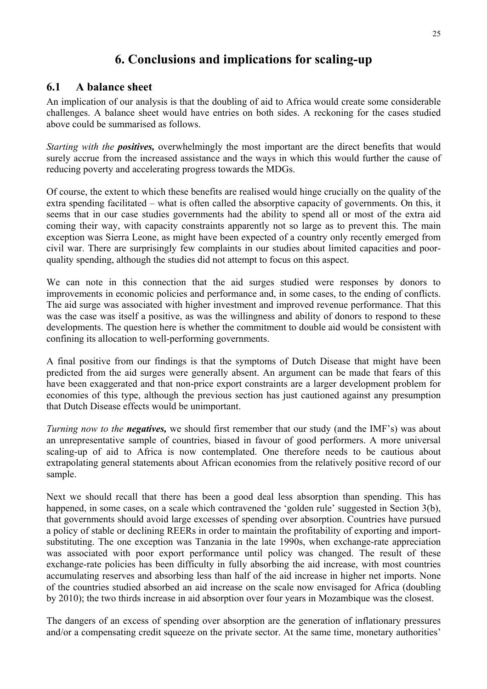## **6. Conclusions and implications for scaling-up**

#### **6.1 A balance sheet**

An implication of our analysis is that the doubling of aid to Africa would create some considerable challenges. A balance sheet would have entries on both sides. A reckoning for the cases studied above could be summarised as follows.

*Starting with the positives,* overwhelmingly the most important are the direct benefits that would surely accrue from the increased assistance and the ways in which this would further the cause of reducing poverty and accelerating progress towards the MDGs.

Of course, the extent to which these benefits are realised would hinge crucially on the quality of the extra spending facilitated – what is often called the absorptive capacity of governments. On this, it seems that in our case studies governments had the ability to spend all or most of the extra aid coming their way, with capacity constraints apparently not so large as to prevent this. The main exception was Sierra Leone, as might have been expected of a country only recently emerged from civil war. There are surprisingly few complaints in our studies about limited capacities and poorquality spending, although the studies did not attempt to focus on this aspect.

We can note in this connection that the aid surges studied were responses by donors to improvements in economic policies and performance and, in some cases, to the ending of conflicts. The aid surge was associated with higher investment and improved revenue performance. That this was the case was itself a positive, as was the willingness and ability of donors to respond to these developments. The question here is whether the commitment to double aid would be consistent with confining its allocation to well-performing governments.

A final positive from our findings is that the symptoms of Dutch Disease that might have been predicted from the aid surges were generally absent. An argument can be made that fears of this have been exaggerated and that non-price export constraints are a larger development problem for economies of this type, although the previous section has just cautioned against any presumption that Dutch Disease effects would be unimportant.

*Turning now to the negatives*, we should first remember that our study (and the IMF's) was about an unrepresentative sample of countries, biased in favour of good performers. A more universal scaling-up of aid to Africa is now contemplated. One therefore needs to be cautious about extrapolating general statements about African economies from the relatively positive record of our sample.

Next we should recall that there has been a good deal less absorption than spending. This has happened, in some cases, on a scale which contravened the 'golden rule' suggested in Section 3(b), that governments should avoid large excesses of spending over absorption. Countries have pursued a policy of stable or declining REERs in order to maintain the profitability of exporting and importsubstituting. The one exception was Tanzania in the late 1990s, when exchange-rate appreciation was associated with poor export performance until policy was changed. The result of these exchange-rate policies has been difficulty in fully absorbing the aid increase, with most countries accumulating reserves and absorbing less than half of the aid increase in higher net imports. None of the countries studied absorbed an aid increase on the scale now envisaged for Africa (doubling by 2010); the two thirds increase in aid absorption over four years in Mozambique was the closest.

The dangers of an excess of spending over absorption are the generation of inflationary pressures and/or a compensating credit squeeze on the private sector. At the same time, monetary authorities'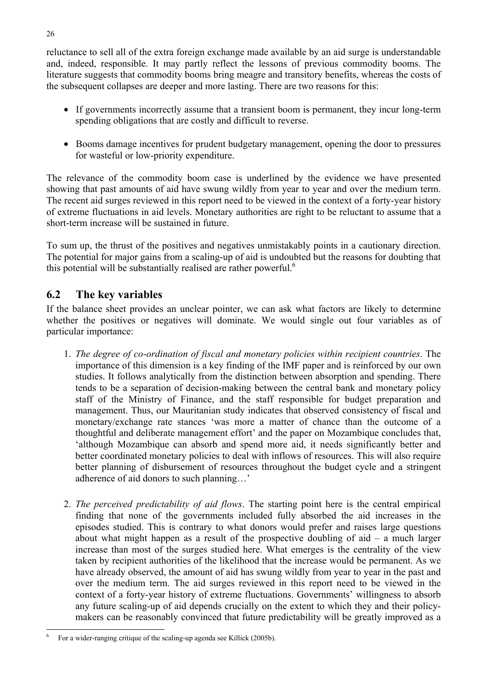reluctance to sell all of the extra foreign exchange made available by an aid surge is understandable and, indeed, responsible. It may partly reflect the lessons of previous commodity booms. The literature suggests that commodity booms bring meagre and transitory benefits, whereas the costs of the subsequent collapses are deeper and more lasting. There are two reasons for this:

- If governments incorrectly assume that a transient boom is permanent, they incur long-term spending obligations that are costly and difficult to reverse.
- Booms damage incentives for prudent budgetary management, opening the door to pressures for wasteful or low-priority expenditure.

The relevance of the commodity boom case is underlined by the evidence we have presented showing that past amounts of aid have swung wildly from year to year and over the medium term. The recent aid surges reviewed in this report need to be viewed in the context of a forty-year history of extreme fluctuations in aid levels. Monetary authorities are right to be reluctant to assume that a short-term increase will be sustained in future.

To sum up, the thrust of the positives and negatives unmistakably points in a cautionary direction. The potential for major gains from a scaling-up of aid is undoubted but the reasons for doubting that this potential will be substantially realised are rather powerful. $<sup>6</sup>$ </sup>

### **6.2 The key variables**

If the balance sheet provides an unclear pointer, we can ask what factors are likely to determine whether the positives or negatives will dominate. We would single out four variables as of particular importance:

- 1. *The degree of co-ordination of fiscal and monetary policies within recipient countries*. The importance of this dimension is a key finding of the IMF paper and is reinforced by our own studies. It follows analytically from the distinction between absorption and spending. There tends to be a separation of decision-making between the central bank and monetary policy staff of the Ministry of Finance, and the staff responsible for budget preparation and management. Thus, our Mauritanian study indicates that observed consistency of fiscal and monetary/exchange rate stances 'was more a matter of chance than the outcome of a thoughtful and deliberate management effort' and the paper on Mozambique concludes that, 'although Mozambique can absorb and spend more aid, it needs significantly better and better coordinated monetary policies to deal with inflows of resources. This will also require better planning of disbursement of resources throughout the budget cycle and a stringent adherence of aid donors to such planning…'
- 2. *The perceived predictability of aid flows*. The starting point here is the central empirical finding that none of the governments included fully absorbed the aid increases in the episodes studied. This is contrary to what donors would prefer and raises large questions about what might happen as a result of the prospective doubling of  $aid - a$  much larger increase than most of the surges studied here. What emerges is the centrality of the view taken by recipient authorities of the likelihood that the increase would be permanent. As we have already observed, the amount of aid has swung wildly from year to year in the past and over the medium term. The aid surges reviewed in this report need to be viewed in the context of a forty-year history of extreme fluctuations. Governments' willingness to absorb any future scaling-up of aid depends crucially on the extent to which they and their policymakers can be reasonably convinced that future predictability will be greatly improved as a

 $\overline{a}$ 6 For a wider-ranging critique of the scaling-up agenda see Killick (2005b).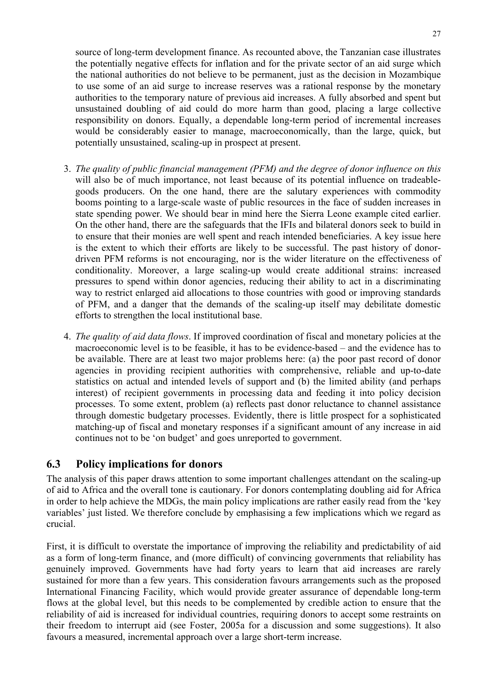source of long-term development finance. As recounted above, the Tanzanian case illustrates the potentially negative effects for inflation and for the private sector of an aid surge which the national authorities do not believe to be permanent, just as the decision in Mozambique to use some of an aid surge to increase reserves was a rational response by the monetary authorities to the temporary nature of previous aid increases. A fully absorbed and spent but unsustained doubling of aid could do more harm than good, placing a large collective responsibility on donors. Equally, a dependable long-term period of incremental increases would be considerably easier to manage, macroeconomically, than the large, quick, but potentially unsustained, scaling-up in prospect at present.

- 3. *The quality of public financial management (PFM) and the degree of donor influence on this* will also be of much importance, not least because of its potential influence on tradeablegoods producers. On the one hand, there are the salutary experiences with commodity booms pointing to a large-scale waste of public resources in the face of sudden increases in state spending power. We should bear in mind here the Sierra Leone example cited earlier. On the other hand, there are the safeguards that the IFIs and bilateral donors seek to build in to ensure that their monies are well spent and reach intended beneficiaries. A key issue here is the extent to which their efforts are likely to be successful. The past history of donordriven PFM reforms is not encouraging, nor is the wider literature on the effectiveness of conditionality. Moreover, a large scaling-up would create additional strains: increased pressures to spend within donor agencies, reducing their ability to act in a discriminating way to restrict enlarged aid allocations to those countries with good or improving standards of PFM, and a danger that the demands of the scaling-up itself may debilitate domestic efforts to strengthen the local institutional base.
- 4. *The quality of aid data flows*. If improved coordination of fiscal and monetary policies at the macroeconomic level is to be feasible, it has to be evidence-based – and the evidence has to be available. There are at least two major problems here: (a) the poor past record of donor agencies in providing recipient authorities with comprehensive, reliable and up-to-date statistics on actual and intended levels of support and (b) the limited ability (and perhaps interest) of recipient governments in processing data and feeding it into policy decision processes. To some extent, problem (a) reflects past donor reluctance to channel assistance through domestic budgetary processes. Evidently, there is little prospect for a sophisticated matching-up of fiscal and monetary responses if a significant amount of any increase in aid continues not to be 'on budget' and goes unreported to government.

#### **6.3 Policy implications for donors**

The analysis of this paper draws attention to some important challenges attendant on the scaling-up of aid to Africa and the overall tone is cautionary. For donors contemplating doubling aid for Africa in order to help achieve the MDGs, the main policy implications are rather easily read from the 'key variables' just listed. We therefore conclude by emphasising a few implications which we regard as crucial.

First, it is difficult to overstate the importance of improving the reliability and predictability of aid as a form of long-term finance, and (more difficult) of convincing governments that reliability has genuinely improved. Governments have had forty years to learn that aid increases are rarely sustained for more than a few years. This consideration favours arrangements such as the proposed International Financing Facility, which would provide greater assurance of dependable long-term flows at the global level, but this needs to be complemented by credible action to ensure that the reliability of aid is increased for individual countries, requiring donors to accept some restraints on their freedom to interrupt aid (see Foster, 2005a for a discussion and some suggestions). It also favours a measured, incremental approach over a large short-term increase.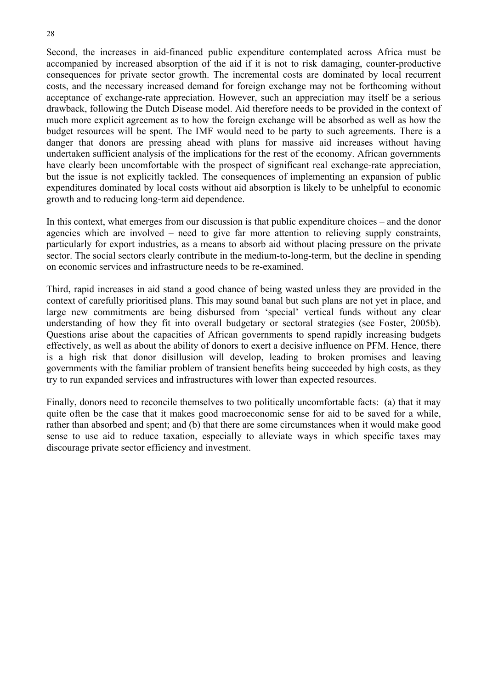Second, the increases in aid-financed public expenditure contemplated across Africa must be accompanied by increased absorption of the aid if it is not to risk damaging, counter-productive consequences for private sector growth. The incremental costs are dominated by local recurrent costs, and the necessary increased demand for foreign exchange may not be forthcoming without acceptance of exchange-rate appreciation. However, such an appreciation may itself be a serious drawback, following the Dutch Disease model. Aid therefore needs to be provided in the context of much more explicit agreement as to how the foreign exchange will be absorbed as well as how the budget resources will be spent. The IMF would need to be party to such agreements. There is a danger that donors are pressing ahead with plans for massive aid increases without having undertaken sufficient analysis of the implications for the rest of the economy. African governments have clearly been uncomfortable with the prospect of significant real exchange-rate appreciation, but the issue is not explicitly tackled. The consequences of implementing an expansion of public expenditures dominated by local costs without aid absorption is likely to be unhelpful to economic growth and to reducing long-term aid dependence.

In this context, what emerges from our discussion is that public expenditure choices – and the donor agencies which are involved – need to give far more attention to relieving supply constraints, particularly for export industries, as a means to absorb aid without placing pressure on the private sector. The social sectors clearly contribute in the medium-to-long-term, but the decline in spending on economic services and infrastructure needs to be re-examined.

Third, rapid increases in aid stand a good chance of being wasted unless they are provided in the context of carefully prioritised plans. This may sound banal but such plans are not yet in place, and large new commitments are being disbursed from 'special' vertical funds without any clear understanding of how they fit into overall budgetary or sectoral strategies (see Foster, 2005b). Questions arise about the capacities of African governments to spend rapidly increasing budgets effectively, as well as about the ability of donors to exert a decisive influence on PFM. Hence, there is a high risk that donor disillusion will develop, leading to broken promises and leaving governments with the familiar problem of transient benefits being succeeded by high costs, as they try to run expanded services and infrastructures with lower than expected resources.

Finally, donors need to reconcile themselves to two politically uncomfortable facts: (a) that it may quite often be the case that it makes good macroeconomic sense for aid to be saved for a while, rather than absorbed and spent; and (b) that there are some circumstances when it would make good sense to use aid to reduce taxation, especially to alleviate ways in which specific taxes may discourage private sector efficiency and investment.